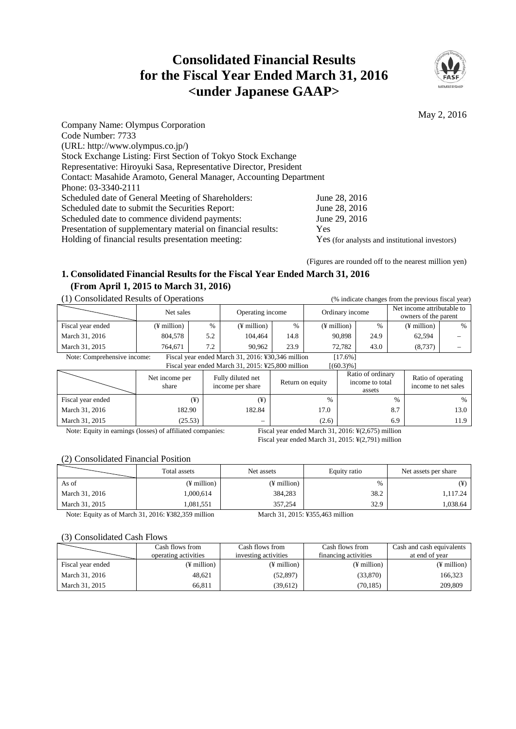# **Consolidated Financial Results for the Fiscal Year Ended March 31, 2016 <under Japanese GAAP>**



May 2, 2016

| Company Name: Olympus Corporation                                 |                                                |
|-------------------------------------------------------------------|------------------------------------------------|
| Code Number: 7733                                                 |                                                |
| (URL: http://www.olympus.co.jp/)                                  |                                                |
| Stock Exchange Listing: First Section of Tokyo Stock Exchange     |                                                |
| Representative: Hiroyuki Sasa, Representative Director, President |                                                |
| Contact: Masahide Aramoto, General Manager, Accounting Department |                                                |
| Phone: 03-3340-2111                                               |                                                |
| Scheduled date of General Meeting of Shareholders:                | June 28, 2016                                  |
| Scheduled date to submit the Securities Report:                   | June 28, 2016                                  |
| Scheduled date to commence dividend payments:                     | June 29, 2016                                  |
| Presentation of supplementary material on financial results:      | Yes                                            |
| Holding of financial results presentation meeting:                | Yes (for analysts and institutional investors) |
|                                                                   |                                                |

(Figures are rounded off to the nearest million yen)

# **1. Consolidated Financial Results for the Fiscal Year Ended March 31, 2016 (From April 1, 2015 to March 31, 2016)**

# (1) Consolidated Results of Operations (% indicate changes from the previous fiscal year)

| ття сопрончают корано от ороганото<br>o muicate changes from the previous fiscal year.         |                         |      |                         |               |                      |      |                                                    |      |
|------------------------------------------------------------------------------------------------|-------------------------|------|-------------------------|---------------|----------------------|------|----------------------------------------------------|------|
|                                                                                                | Net sales               |      | Operating income        |               | Ordinary income      |      | Net income attributable to<br>owners of the parent |      |
| Fiscal year ended                                                                              | $(\frac{1}{2})$ million | $\%$ | $(\frac{1}{2})$ million | $\frac{0}{6}$ | $(F\text{ million})$ | $\%$ | $(F$ million)                                      | $\%$ |
| March 31, 2016                                                                                 | 804.578                 | 5.2  | 104.464                 | 14.8          | 90.898               | 24.9 | 62,594                                             |      |
| March 31, 2015                                                                                 | 764.671                 | 7.2  | 90.962                  | 23.9          | 72.782               | 43.0 | (8, 737)                                           |      |
| Note: Comprehensive income:<br>Fiscal year ended March 31, 2016: ¥30,346 million<br>$[17.6\%]$ |                         |      |                         |               |                      |      |                                                    |      |

Fiscal year ended March 31, 2015: ¥25,800 million  $[(60.3)\%]$ 

|                                                                                                                               | Net income per<br>share | Fully diluted net<br>income per share | Return on equity | Ratio of ordinary<br>income to total<br>assets | Ratio of operating<br>income to net sales |
|-------------------------------------------------------------------------------------------------------------------------------|-------------------------|---------------------------------------|------------------|------------------------------------------------|-------------------------------------------|
| Fiscal year ended                                                                                                             | (¥)                     | $(\yen)$                              | $\%$             | $\frac{0}{0}$                                  | $\%$                                      |
| March 31, 2016                                                                                                                | 182.90                  | 182.84                                | 17.0             | 8.7                                            | 13.0                                      |
| March 31, 2015                                                                                                                | (25.53)                 |                                       | (2.6)            | 6.9                                            | 11.9                                      |
| Note: Equity in earnings (losses) of affiliated companies:<br>Fiscal year ended March 31, 2016: $\frac{1}{2}$ (2,675) million |                         |                                       |                  |                                                |                                           |

Fiscal year ended March 31, 2015: ¥(2,791) million

#### (2) Consolidated Financial Position

|                | Total assets  | Net assets    | Equity ratio | Net assets per share |  |
|----------------|---------------|---------------|--------------|----------------------|--|
| As of          | $(F$ million) | $(F$ million) | $\%$         |                      |  |
| March 31, 2016 | 1.000.614     | 384,283       | 38.2         | 1,117.24             |  |
| March 31, 2015 | 1.081.551     | 357,254       | 32.9         | 1,038.64             |  |

Note: Equity as of March 31, 2016: ¥382,359 million March 31, 2015: ¥355,463 million

#### (3) Consolidated Cash Flows

|                   | Cash flows from<br>operating activities | Cash flows from<br>investing activities | Cash flows from<br>financing activities | Cash and cash equivalents<br>at end of year |
|-------------------|-----------------------------------------|-----------------------------------------|-----------------------------------------|---------------------------------------------|
| Fiscal year ended | (¥ million)                             | (¥ million)                             | $(F$ million)                           | $(F$ million)                               |
| March 31, 2016    | 48.621                                  | (52, 897)                               | (33,870)                                | 166.323                                     |
| March 31, 2015    | 66.811                                  | (39,612)                                | (70, 185)                               | 209,809                                     |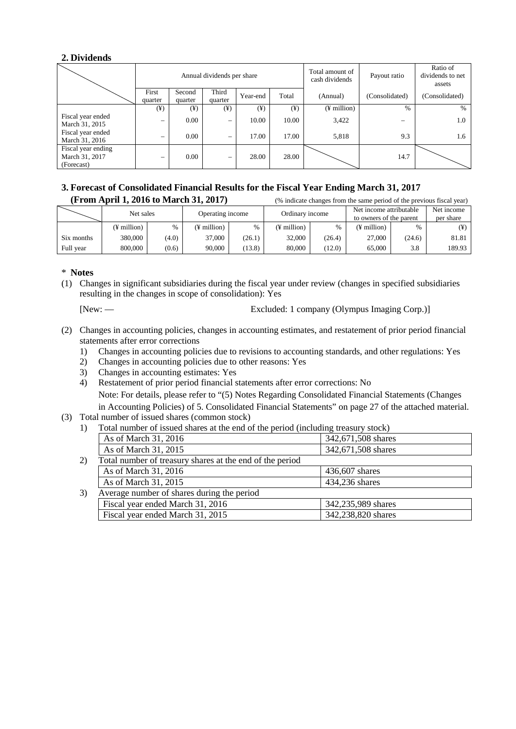# **2. Dividends**

|                                                    |          |                                      | Annual dividends per share |          |                 | Total amount of<br>cash dividends | Payout ratio | Ratio of<br>dividends to net<br>assets |
|----------------------------------------------------|----------|--------------------------------------|----------------------------|----------|-----------------|-----------------------------------|--------------|----------------------------------------|
|                                                    | First    | Third<br>Second<br>Year-end<br>Total |                            | (Annual) | (Consolidated)  | (Consolidated)                    |              |                                        |
|                                                    | quarter  | quarter                              | quarter                    |          |                 |                                   |              |                                        |
|                                                    | $(\yen)$ | $(\yen)$                             | $(\yen)$                   | $(\yen)$ | $(\frac{1}{2})$ | $(F$ million)                     | $\%$         | $\%$                                   |
| Fiscal year ended<br>March 31, 2015                | -        | 0.00                                 |                            | 10.00    | 10.00           | 3,422                             |              | 1.0                                    |
| Fiscal year ended<br>March 31, 2016                | -        | 0.00                                 |                            | 17.00    | 17.00           | 5,818                             | 9.3          | 1.6                                    |
| Fiscal year ending<br>March 31, 2017<br>(Forecast) |          | 0.00                                 |                            | 28.00    | 28.00           |                                   | 14.7         |                                        |

#### **3. Forecast of Consolidated Financial Results for the Fiscal Year Ending March 31, 2017**  $(F_{\text{rrom}} \text{ A}_{\text{r}})$  1, 2016 to March 21, 2017)

|            | (From April 1, 2010 to March 31, 2017) |       |               | (% indicate changes from the same period of the previous fiscal year) |                       |                 |                         |                         |           |
|------------|----------------------------------------|-------|---------------|-----------------------------------------------------------------------|-----------------------|-----------------|-------------------------|-------------------------|-----------|
|            | Net sales                              |       |               | Operating income                                                      |                       | Ordinary income |                         | Net income attributable |           |
|            |                                        |       |               |                                                                       |                       |                 | to owners of the parent |                         | per share |
|            | (¥ million)                            | $\%$  | $(F$ million) | $\%$                                                                  | $(F \text{ million})$ |                 | (¥ million)             | %                       | ¥)        |
| Six months | 380,000                                | (4.0) | 37,000        | (26.1)                                                                | 32,000                | (26.4)          | 27,000                  | (24.6)                  | 81.81     |
| Full year  | 800,000                                | (0.6) | 90,000        | (13.8)                                                                | 80,000                | (12.0)          | 65,000                  | 3.8                     | 189.93    |

## \* **Notes**

(1) Changes in significant subsidiaries during the fiscal year under review (changes in specified subsidiaries resulting in the changes in scope of consolidation): Yes

[New: — Excluded: 1 company (Olympus Imaging Corp.)]

- (2) Changes in accounting policies, changes in accounting estimates, and restatement of prior period financial statements after error corrections
	- 1) Changes in accounting policies due to revisions to accounting standards, and other regulations: Yes
	- 2) Changes in accounting policies due to other reasons: Yes
	- 3) Changes in accounting estimates: Yes
	- 4) Restatement of prior period financial statements after error corrections: No Note: For details, please refer to "(5) Notes Regarding Consolidated Financial Statements (Changes in Accounting Policies) of 5. Consolidated Financial Statements" on page 27 of the attached material.
- (3) Total number of issued shares (common stock)
	- 1) Total number of issued shares at the end of the period (including treasury stock)

|    | As of March 31, 2016                                     | 342,671,508 shares |
|----|----------------------------------------------------------|--------------------|
|    | As of March 31, 2015                                     | 342,671,508 shares |
| 2) | Total number of treasury shares at the end of the period |                    |
|    | As of March 31, 2016                                     | 436,607 shares     |
|    | As of March 31, 2015                                     | 434,236 shares     |
| 3) | Average number of shares during the period               |                    |
|    | Fiscal year ended March 31, 2016                         | 342,235,989 shares |
|    | Fiscal year ended March 31, 2015                         | 342,238,820 shares |
|    |                                                          |                    |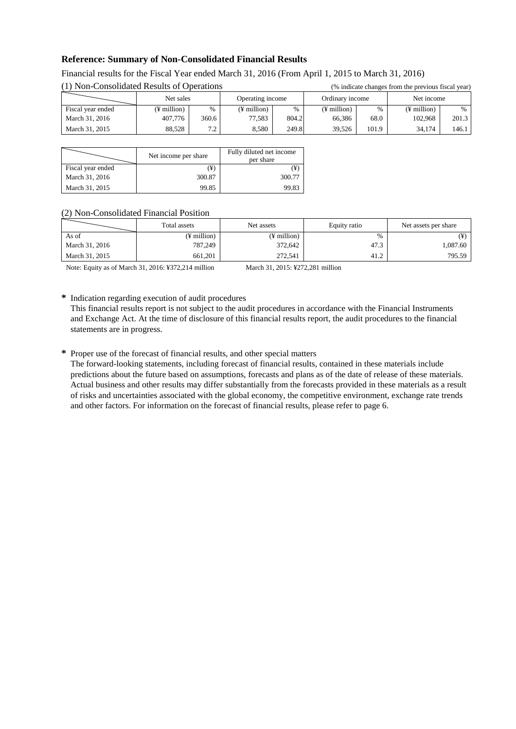# **Reference: Summary of Non-Consolidated Financial Results**

| (1) Non-Consolidated Results of Operations |                         |       |                         | (% indicate changes from the previous fiscal year) |                 |       |                         |       |
|--------------------------------------------|-------------------------|-------|-------------------------|----------------------------------------------------|-----------------|-------|-------------------------|-------|
|                                            | Net sales               |       | Operating income        |                                                    | Ordinary income |       | Net income              |       |
| Fiscal year ended                          | $(\frac{1}{2})$ million | $\%$  | $(\frac{1}{2})$ million | $\%$                                               | $(F$ million)   | %     | $(\frac{1}{2})$ million | $\%$  |
| March 31, 2016                             | 407,776                 | 360.6 | 77.583                  | 804.2                                              | 66.386          | 68.0  | 102.968                 | 201.3 |
| March 31, 2015                             | 88.528                  | 7.2   | 8.580                   | 249.8                                              | 39.526          | 101.9 | 34.174                  | 146.1 |

# Financial results for the Fiscal Year ended March 31, 2016 (From April 1, 2015 to March 31, 2016)<br>(1) New General ideal Develops of Operations

|                   | Net income per share | Fully diluted net income<br>per share |
|-------------------|----------------------|---------------------------------------|
| Fiscal year ended | (¥)                  | ¥.                                    |
| March 31, 2016    | 300.87               | 300.77                                |
| March 31, 2015    | 99.85                | 99.83                                 |

#### (2) Non-Consolidated Financial Position

|                | Total assets | Net assets  | Equity ratio | Net assets per share |
|----------------|--------------|-------------|--------------|----------------------|
| As of          | (¥ million)  | (¥ million) | $\%$         | ¥)                   |
| March 31, 2016 | 787,249      | 372,642     | 47.3         | 1.087.60             |
| March 31, 2015 | 661,201      | 272,541     | 41.2         | 795.59               |

Note: Equity as of March 31, 2016: ¥372,214 million March 31, 2015: ¥272,281 million

**\*** Indication regarding execution of audit procedures

This financial results report is not subject to the audit procedures in accordance with the Financial Instruments and Exchange Act. At the time of disclosure of this financial results report, the audit procedures to the financial statements are in progress.

**\*** Proper use of the forecast of financial results, and other special matters

The forward-looking statements, including forecast of financial results, contained in these materials include predictions about the future based on assumptions, forecasts and plans as of the date of release of these materials. Actual business and other results may differ substantially from the forecasts provided in these materials as a result of risks and uncertainties associated with the global economy, the competitive environment, exchange rate trends and other factors. For information on the forecast of financial results, please refer to page 6.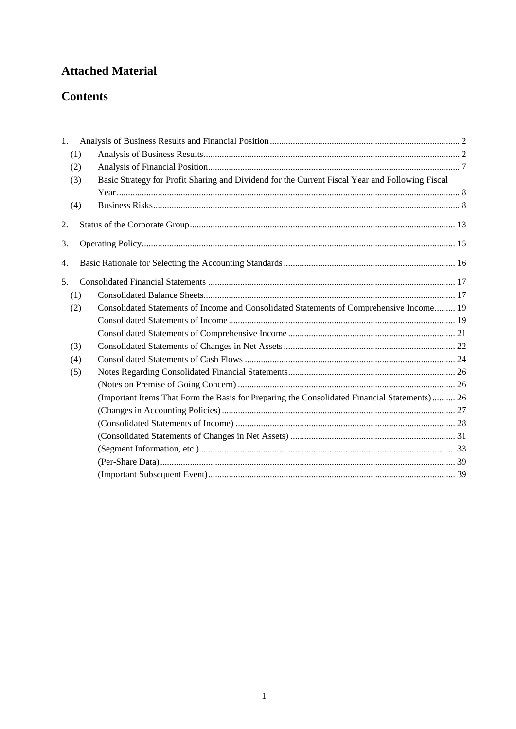# **Attached Material**

# **Contents**

| 1. |     |                                                                                                 |  |
|----|-----|-------------------------------------------------------------------------------------------------|--|
|    | (1) |                                                                                                 |  |
|    | (2) |                                                                                                 |  |
|    | (3) | Basic Strategy for Profit Sharing and Dividend for the Current Fiscal Year and Following Fiscal |  |
|    |     |                                                                                                 |  |
|    | (4) |                                                                                                 |  |
| 2. |     |                                                                                                 |  |
| 3. |     |                                                                                                 |  |
| 4. |     |                                                                                                 |  |
| 5. |     |                                                                                                 |  |
|    | (1) |                                                                                                 |  |
|    | (2) | Consolidated Statements of Income and Consolidated Statements of Comprehensive Income 19        |  |
|    |     |                                                                                                 |  |
|    |     |                                                                                                 |  |
|    | (3) |                                                                                                 |  |
|    | (4) |                                                                                                 |  |
|    | (5) |                                                                                                 |  |
|    |     |                                                                                                 |  |
|    |     | (Important Items That Form the Basis for Preparing the Consolidated Financial Statements) 26    |  |
|    |     |                                                                                                 |  |
|    |     |                                                                                                 |  |
|    |     |                                                                                                 |  |
|    |     |                                                                                                 |  |
|    |     |                                                                                                 |  |
|    |     |                                                                                                 |  |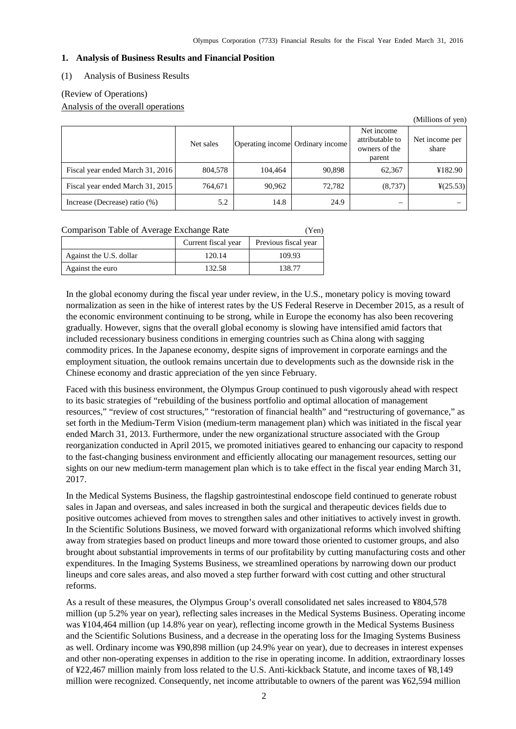#### <span id="page-4-0"></span>**1. Analysis of Business Results and Financial Position**

#### <span id="page-4-1"></span>(1) Analysis of Business Results

### (Review of Operations)

Analysis of the overall operations

|                                  |           |                                  |        |                                                          | (Millions of yen)       |
|----------------------------------|-----------|----------------------------------|--------|----------------------------------------------------------|-------------------------|
|                                  | Net sales | Operating income Ordinary income |        | Net income<br>attributable to<br>owners of the<br>parent | Net income per<br>share |
| Fiscal year ended March 31, 2016 | 804,578   | 104.464                          | 90,898 | 62,367                                                   | ¥182.90                 |
| Fiscal year ended March 31, 2015 | 764,671   | 90,962                           | 72,782 | (8, 737)                                                 | $\frac{1}{2}(25.53)$    |
| Increase (Decrease) ratio (%)    | 5.2       | 14.8                             | 24.9   | –                                                        |                         |

| Comparison Table of Average Exchange Rate | (Yen)               |                      |
|-------------------------------------------|---------------------|----------------------|
|                                           | Current fiscal year | Previous fiscal year |
| Against the U.S. dollar                   | 120.14              | 109.93               |

Against the euro 132.58 138.77

In the global economy during the fiscal year under review, in the U.S., monetary policy is moving toward normalization as seen in the hike of interest rates by the US Federal Reserve in December 2015, as a result of the economic environment continuing to be strong, while in Europe the economy has also been recovering gradually. However, signs that the overall global economy is slowing have intensified amid factors that included recessionary business conditions in emerging countries such as China along with sagging commodity prices. In the Japanese economy, despite signs of improvement in corporate earnings and the employment situation, the outlook remains uncertain due to developments such as the downside risk in the Chinese economy and drastic appreciation of the yen since February.

Faced with this business environment, the Olympus Group continued to push vigorously ahead with respect to its basic strategies of "rebuilding of the business portfolio and optimal allocation of management resources," "review of cost structures," "restoration of financial health" and "restructuring of governance," as set forth in the Medium-Term Vision (medium-term management plan) which was initiated in the fiscal year ended March 31, 2013. Furthermore, under the new organizational structure associated with the Group reorganization conducted in April 2015, we promoted initiatives geared to enhancing our capacity to respond to the fast-changing business environment and efficiently allocating our management resources, setting our sights on our new medium-term management plan which is to take effect in the fiscal year ending March 31, 2017.

In the Medical Systems Business, the flagship gastrointestinal endoscope field continued to generate robust sales in Japan and overseas, and sales increased in both the surgical and therapeutic devices fields due to positive outcomes achieved from moves to strengthen sales and other initiatives to actively invest in growth. In the Scientific Solutions Business, we moved forward with organizational reforms which involved shifting away from strategies based on product lineups and more toward those oriented to customer groups, and also brought about substantial improvements in terms of our profitability by cutting manufacturing costs and other expenditures. In the Imaging Systems Business, we streamlined operations by narrowing down our product lineups and core sales areas, and also moved a step further forward with cost cutting and other structural reforms.

As a result of these measures, the Olympus Group's overall consolidated net sales increased to ¥804,578 million (up 5.2% year on year), reflecting sales increases in the Medical Systems Business. Operating income was ¥104,464 million (up 14.8% year on year), reflecting income growth in the Medical Systems Business and the Scientific Solutions Business, and a decrease in the operating loss for the Imaging Systems Business as well. Ordinary income was ¥90,898 million (up 24.9% year on year), due to decreases in interest expenses and other non-operating expenses in addition to the rise in operating income. In addition, extraordinary losses of ¥22,467 million mainly from loss related to the U.S. Anti-kickback Statute, and income taxes of ¥8,149 million were recognized. Consequently, net income attributable to owners of the parent was ¥62,594 million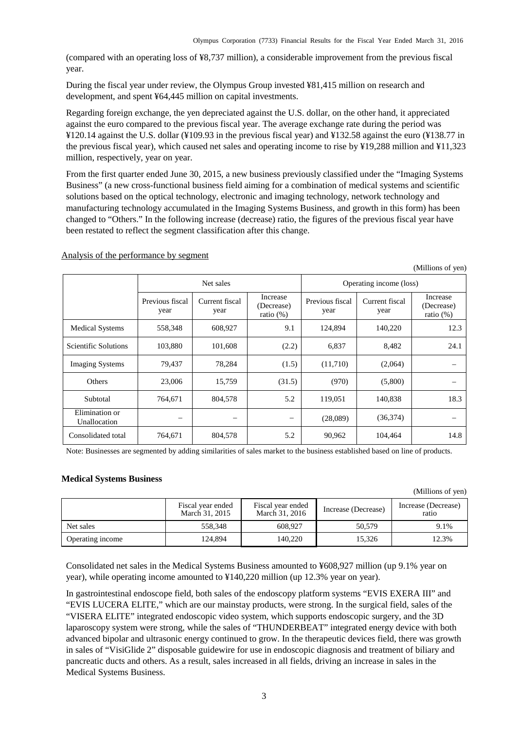(compared with an operating loss of ¥8,737 million), a considerable improvement from the previous fiscal year.

During the fiscal year under review, the Olympus Group invested ¥81,415 million on research and development, and spent ¥64,445 million on capital investments.

Regarding foreign exchange, the yen depreciated against the U.S. dollar, on the other hand, it appreciated against the euro compared to the previous fiscal year. The average exchange rate during the period was ¥120.14 against the U.S. dollar (¥109.93 in the previous fiscal year) and ¥132.58 against the euro (¥138.77 in the previous fiscal year), which caused net sales and operating income to rise by ¥19,288 million and ¥11,323 million, respectively, year on year.

From the first quarter ended June 30, 2015, a new business previously classified under the "Imaging Systems Business" (a new cross-functional business field aiming for a combination of medical systems and scientific solutions based on the optical technology, electronic and imaging technology, network technology and manufacturing technology accumulated in the Imaging Systems Business, and growth in this form) has been changed to "Others." In the following increase (decrease) ratio, the figures of the previous fiscal year have been restated to reflect the segment classification after this change.

|                                |                          |                        |                                        |                         |                        | $\mathbf{r}$                           |
|--------------------------------|--------------------------|------------------------|----------------------------------------|-------------------------|------------------------|----------------------------------------|
|                                | Net sales                |                        |                                        | Operating income (loss) |                        |                                        |
|                                | Previous fiscal<br>year  | Current fiscal<br>year | Increase<br>(Decrease)<br>ratio $(\%)$ | Previous fiscal<br>year | Current fiscal<br>year | Increase<br>(Decrease)<br>ratio $(\%)$ |
| <b>Medical Systems</b>         | 558,348                  | 608,927                | 9.1                                    | 124,894                 | 140,220                | 12.3                                   |
| Scientific Solutions           | 103,880                  | 101,608                | (2.2)                                  | 6,837                   | 8,482                  | 24.1                                   |
| <b>Imaging Systems</b>         | 79,437                   | 78,284                 | (1.5)                                  | (11,710)                | (2,064)                |                                        |
| Others                         | 23,006                   | 15,759                 | (31.5)                                 | (970)                   | (5,800)                |                                        |
| Subtotal                       | 764,671                  | 804,578                | 5.2                                    | 119,051                 | 140,838                | 18.3                                   |
| Elimination or<br>Unallocation | $\overline{\phantom{m}}$ | —                      | $\qquad \qquad -$                      | (28,089)                | (36,374)               |                                        |
| Consolidated total             | 764,671                  | 804,578                | 5.2                                    | 90,962                  | 104,464                | 14.8                                   |

#### Analysis of the performance by segment

Note: Businesses are segmented by adding similarities of sales market to the business established based on line of products.

#### **Medical Systems Business**

(Millions of yen)

(Millions of yen)

|                  | Fiscal year ended<br>March 31, 2015 | Fiscal year ended<br>March 31, 2016 | Increase (Decrease) | Increase (Decrease)<br>ratio |
|------------------|-------------------------------------|-------------------------------------|---------------------|------------------------------|
| Net sales        | 558.348                             | 608.927                             | 50.579              | 9.1%                         |
| Operating income | 124.894                             | 140.220                             | 15.326              | 12.3%                        |

Consolidated net sales in the Medical Systems Business amounted to ¥608,927 million (up 9.1% year on year), while operating income amounted to ¥140,220 million (up 12.3% year on year).

In gastrointestinal endoscope field, both sales of the endoscopy platform systems "EVIS EXERA III" and "EVIS LUCERA ELITE," which are our mainstay products, were strong. In the surgical field, sales of the "VISERA ELITE" integrated endoscopic video system, which supports endoscopic surgery, and the 3D laparoscopy system were strong, while the sales of "THUNDERBEAT" integrated energy device with both advanced bipolar and ultrasonic energy continued to grow. In the therapeutic devices field, there was growth in sales of "VisiGlide 2" disposable guidewire for use in endoscopic diagnosis and treatment of biliary and pancreatic ducts and others. As a result, sales increased in all fields, driving an increase in sales in the Medical Systems Business.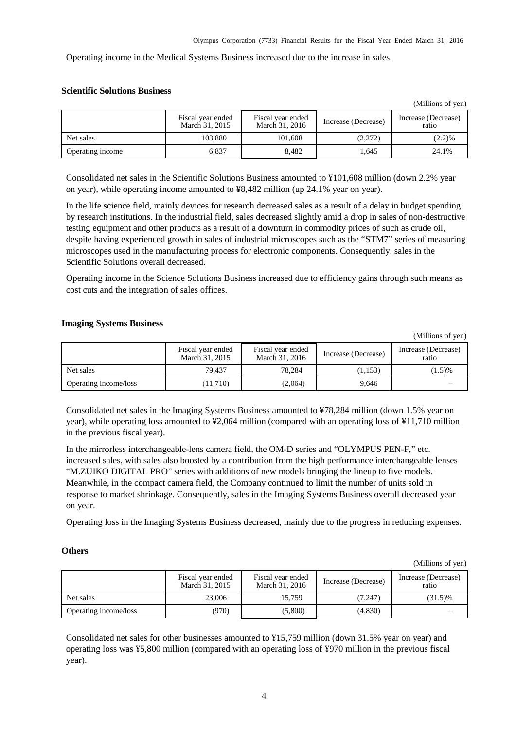Operating income in the Medical Systems Business increased due to the increase in sales.

#### **Scientific Solutions Business**

|                  |                                     |                                     |                     | (1)                          |
|------------------|-------------------------------------|-------------------------------------|---------------------|------------------------------|
|                  | Fiscal year ended<br>March 31, 2015 | Fiscal year ended<br>March 31, 2016 | Increase (Decrease) | Increase (Decrease)<br>ratio |
| Net sales        | 103.880                             | 101.608                             | (2,272)             | (2.2)%                       |
| Operating income | 6,837                               | 8.482                               | 1,645               | 24.1%                        |

Consolidated net sales in the Scientific Solutions Business amounted to ¥101,608 million (down 2.2% year on year), while operating income amounted to ¥8,482 million (up 24.1% year on year).

In the life science field, mainly devices for research decreased sales as a result of a delay in budget spending by research institutions. In the industrial field, sales decreased slightly amid a drop in sales of non-destructive testing equipment and other products as a result of a downturn in commodity prices of such as crude oil, despite having experienced growth in sales of industrial microscopes such as the "STM7" series of measuring microscopes used in the manufacturing process for electronic components. Consequently, sales in the Scientific Solutions overall decreased.

Operating income in the Science Solutions Business increased due to efficiency gains through such means as cost cuts and the integration of sales offices.

#### **Imaging Systems Business**

(Millions of yen)

 $(Millions of yn)$ 

|                       | Fiscal year ended<br>March 31, 2015 | Fiscal year ended<br>March 31, 2016 | Increase (Decrease) | Increase (Decrease)<br>ratio |
|-----------------------|-------------------------------------|-------------------------------------|---------------------|------------------------------|
| Net sales             | 79.437                              | 78.284                              | (1,153)             | (1.5)%                       |
| Operating income/loss | (11,710)                            | (2,064)                             | 9.646               |                              |

Consolidated net sales in the Imaging Systems Business amounted to ¥78,284 million (down 1.5% year on year), while operating loss amounted to ¥2,064 million (compared with an operating loss of ¥11,710 million in the previous fiscal year).

In the mirrorless interchangeable-lens camera field, the OM-D series and "OLYMPUS PEN-F," etc. increased sales, with sales also boosted by a contribution from the high performance interchangeable lenses "M.ZUIKO DIGITAL PRO" series with additions of new models bringing the lineup to five models. Meanwhile, in the compact camera field, the Company continued to limit the number of units sold in response to market shrinkage. Consequently, sales in the Imaging Systems Business overall decreased year on year.

Operating loss in the Imaging Systems Business decreased, mainly due to the progress in reducing expenses.

#### **Others**

(Millions of yen)

|                       | Fiscal year ended<br>March 31, 2015 | Fiscal year ended<br>March 31, 2016 | Increase (Decrease) | Increase (Decrease)<br>ratio |
|-----------------------|-------------------------------------|-------------------------------------|---------------------|------------------------------|
| Net sales             | 23,006                              | 15.759                              | (7,247)             | $(31.5)\%$                   |
| Operating income/loss | (970)                               | (5,800)                             | (4,830)             |                              |

Consolidated net sales for other businesses amounted to ¥15,759 million (down 31.5% year on year) and operating loss was ¥5,800 million (compared with an operating loss of ¥970 million in the previous fiscal year).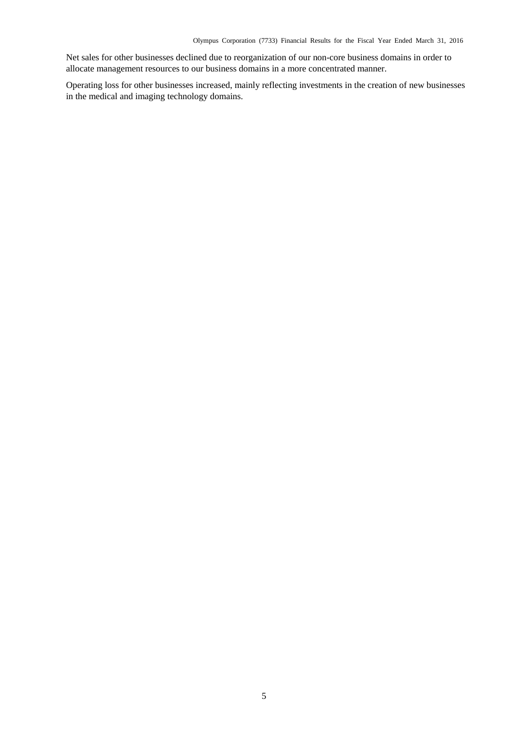Net sales for other businesses declined due to reorganization of our non-core business domains in order to allocate management resources to our business domains in a more concentrated manner.

Operating loss for other businesses increased, mainly reflecting investments in the creation of new businesses in the medical and imaging technology domains.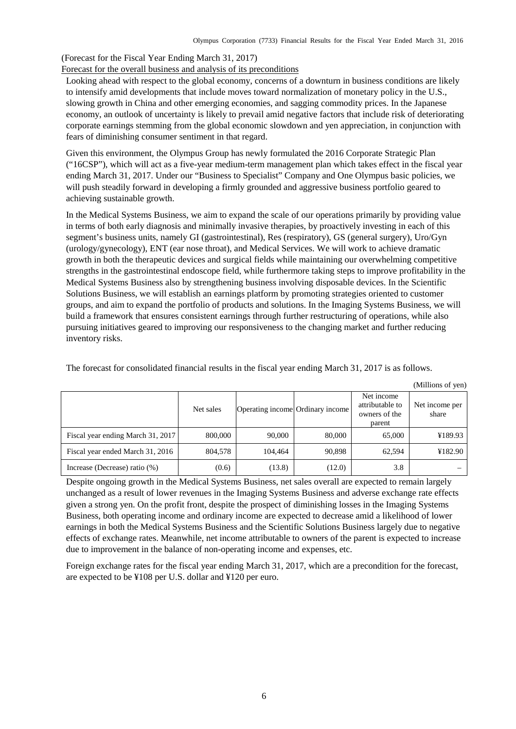(Forecast for the Fiscal Year Ending March 31, 2017) Forecast for the overall business and analysis of its preconditions

Looking ahead with respect to the global economy, concerns of a downturn in business conditions are likely to intensify amid developments that include moves toward normalization of monetary policy in the U.S., slowing growth in China and other emerging economies, and sagging commodity prices. In the Japanese economy, an outlook of uncertainty is likely to prevail amid negative factors that include risk of deteriorating corporate earnings stemming from the global economic slowdown and yen appreciation, in conjunction with fears of diminishing consumer sentiment in that regard.

Given this environment, the Olympus Group has newly formulated the 2016 Corporate Strategic Plan ("16CSP"), which will act as a five-year medium-term management plan which takes effect in the fiscal year ending March 31, 2017. Under our "Business to Specialist" Company and One Olympus basic policies, we will push steadily forward in developing a firmly grounded and aggressive business portfolio geared to achieving sustainable growth.

In the Medical Systems Business, we aim to expand the scale of our operations primarily by providing value in terms of both early diagnosis and minimally invasive therapies, by proactively investing in each of this segment's business units, namely GI (gastrointestinal), Res (respiratory), GS (general surgery), Uro/Gyn (urology/gynecology), ENT (ear nose throat), and Medical Services. We will work to achieve dramatic growth in both the therapeutic devices and surgical fields while maintaining our overwhelming competitive strengths in the gastrointestinal endoscope field, while furthermore taking steps to improve profitability in the Medical Systems Business also by strengthening business involving disposable devices. In the Scientific Solutions Business, we will establish an earnings platform by promoting strategies oriented to customer groups, and aim to expand the portfolio of products and solutions. In the Imaging Systems Business, we will build a framework that ensures consistent earnings through further restructuring of operations, while also pursuing initiatives geared to improving our responsiveness to the changing market and further reducing inventory risks.

Net sales Operating income Ordinary income Net income attributable to owners of the parent Net income per share Fiscal year ending March 31, 2017 800,000 90,000 80,000 80,000 65,000 ¥189.93 Fiscal year ended March 31, 2016 804,578 104,464 90,898 62,594 ¥182.90 Increase (Decrease) ratio (%)  $(0.6)$   $(13.8)$   $(12.0)$   $(12.0)$  3.8

The forecast for consolidated financial results in the fiscal year ending March 31, 2017 is as follows.

(Millions of yen)

Despite ongoing growth in the Medical Systems Business, net sales overall are expected to remain largely unchanged as a result of lower revenues in the Imaging Systems Business and adverse exchange rate effects given a strong yen. On the profit front, despite the prospect of diminishing losses in the Imaging Systems Business, both operating income and ordinary income are expected to decrease amid a likelihood of lower earnings in both the Medical Systems Business and the Scientific Solutions Business largely due to negative effects of exchange rates. Meanwhile, net income attributable to owners of the parent is expected to increase due to improvement in the balance of non-operating income and expenses, etc.

Foreign exchange rates for the fiscal year ending March 31, 2017, which are a precondition for the forecast, are expected to be ¥108 per U.S. dollar and ¥120 per euro.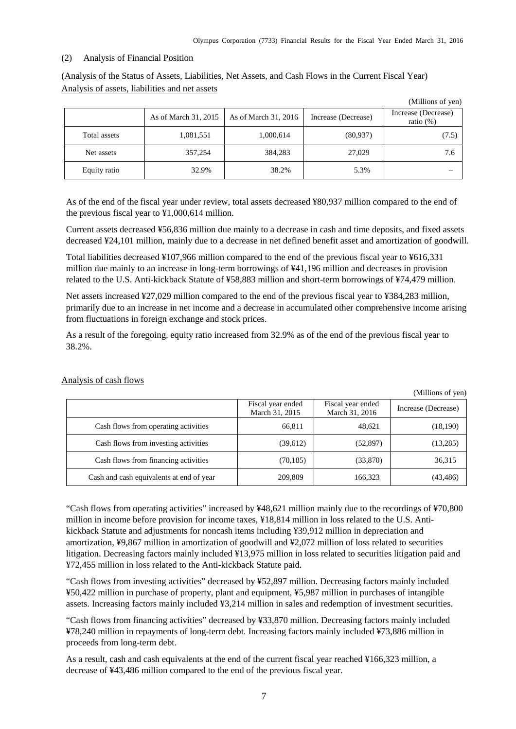(Millions of yen)

#### <span id="page-9-0"></span>(2) Analysis of Financial Position

(Analysis of the Status of Assets, Liabilities, Net Assets, and Cash Flows in the Current Fiscal Year) Analysis of assets, liabilities and net assets

|              |                      |                      |                     | $(1$ vininoms or $y$ cii)           |
|--------------|----------------------|----------------------|---------------------|-------------------------------------|
|              | As of March 31, 2015 | As of March 31, 2016 | Increase (Decrease) | Increase (Decrease)<br>ratio $(\%)$ |
| Total assets | 1,081,551            | 1,000,614            | (80,937)            | (7.5)                               |
| Net assets   | 357,254              | 384,283              | 27,029              | 7.6                                 |
| Equity ratio | 32.9%                | 38.2%                | 5.3%                |                                     |

As of the end of the fiscal year under review, total assets decreased ¥80,937 million compared to the end of the previous fiscal year to ¥1,000,614 million.

Current assets decreased ¥56,836 million due mainly to a decrease in cash and time deposits, and fixed assets decreased ¥24,101 million, mainly due to a decrease in net defined benefit asset and amortization of goodwill.

Total liabilities decreased ¥107,966 million compared to the end of the previous fiscal year to ¥616,331 million due mainly to an increase in long-term borrowings of ¥41,196 million and decreases in provision related to the U.S. Anti-kickback Statute of ¥58,883 million and short-term borrowings of ¥74,479 million.

Net assets increased ¥27,029 million compared to the end of the previous fiscal year to ¥384,283 million, primarily due to an increase in net income and a decrease in accumulated other comprehensive income arising from fluctuations in foreign exchange and stock prices.

As a result of the foregoing, equity ratio increased from 32.9% as of the end of the previous fiscal year to 38.2%.

|                                          |                                     |                                     | (Millions of yen)   |
|------------------------------------------|-------------------------------------|-------------------------------------|---------------------|
|                                          | Fiscal year ended<br>March 31, 2015 | Fiscal year ended<br>March 31, 2016 | Increase (Decrease) |
| Cash flows from operating activities     | 66,811                              | 48,621                              | (18, 190)           |
| Cash flows from investing activities     | (39,612)                            | (52, 897)                           | (13,285)            |
| Cash flows from financing activities     | (70, 185)                           | (33,870)                            | 36,315              |
| Cash and cash equivalents at end of year | 209,809                             | 166,323                             | (43, 486)           |

Analysis of cash flows

"Cash flows from operating activities" increased by ¥48,621 million mainly due to the recordings of ¥70,800 million in income before provision for income taxes, ¥18,814 million in loss related to the U.S. Antikickback Statute and adjustments for noncash items including ¥39,912 million in depreciation and amortization, ¥9,867 million in amortization of goodwill and ¥2,072 million of loss related to securities litigation. Decreasing factors mainly included ¥13,975 million in loss related to securities litigation paid and ¥72,455 million in loss related to the Anti-kickback Statute paid.

"Cash flows from investing activities" decreased by ¥52,897 million. Decreasing factors mainly included ¥50,422 million in purchase of property, plant and equipment, ¥5,987 million in purchases of intangible assets. Increasing factors mainly included ¥3,214 million in sales and redemption of investment securities.

"Cash flows from financing activities" decreased by ¥33,870 million. Decreasing factors mainly included ¥78,240 million in repayments of long-term debt. Increasing factors mainly included ¥73,886 million in proceeds from long-term debt.

As a result, cash and cash equivalents at the end of the current fiscal year reached ¥166,323 million, a decrease of ¥43,486 million compared to the end of the previous fiscal year.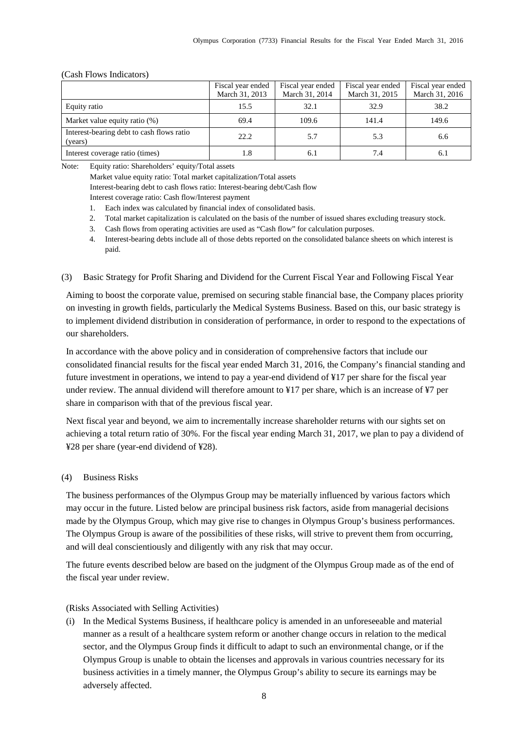|                                                      | Fiscal year ended | Fiscal year ended | Fiscal year ended | Fiscal year ended |
|------------------------------------------------------|-------------------|-------------------|-------------------|-------------------|
|                                                      | March 31, 2013    | March 31, 2014    | March 31, 2015    | March 31, 2016    |
| Equity ratio                                         | 15.5              | 32.1              | 32.9              | 38.2              |
| Market value equity ratio (%)                        | 69.4              | 109.6             | 141.4             | 149.6             |
| Interest-bearing debt to cash flows ratio<br>(years) | 22.2              | 5.7               | 5.3               | 6.6               |
| Interest coverage ratio (times)                      | 1.8               | 6.1               | 7.4               | 6.1               |

#### (Cash Flows Indicators)

Note: Equity ratio: Shareholders' equity/Total assets

Market value equity ratio: Total market capitalization/Total assets Interest-bearing debt to cash flows ratio: Interest-bearing debt/Cash flow Interest coverage ratio: Cash flow/Interest payment

- 1. Each index was calculated by financial index of consolidated basis.
- 2. Total market capitalization is calculated on the basis of the number of issued shares excluding treasury stock.
- 3. Cash flows from operating activities are used as "Cash flow" for calculation purposes.
- 4. Interest-bearing debts include all of those debts reported on the consolidated balance sheets on which interest is paid.
- <span id="page-10-0"></span>(3) Basic Strategy for Profit Sharing and Dividend for the Current Fiscal Year and Following Fiscal Year

Aiming to boost the corporate value, premised on securing stable financial base, the Company places priority on investing in growth fields, particularly the Medical Systems Business. Based on this, our basic strategy is to implement dividend distribution in consideration of performance, in order to respond to the expectations of our shareholders.

In accordance with the above policy and in consideration of comprehensive factors that include our consolidated financial results for the fiscal year ended March 31, 2016, the Company's financial standing and future investment in operations, we intend to pay a year-end dividend of ¥17 per share for the fiscal year under review. The annual dividend will therefore amount to ¥17 per share, which is an increase of ¥7 per share in comparison with that of the previous fiscal year.

Next fiscal year and beyond, we aim to incrementally increase shareholder returns with our sights set on achieving a total return ratio of 30%. For the fiscal year ending March 31, 2017, we plan to pay a dividend of ¥28 per share (year-end dividend of ¥28).

# <span id="page-10-1"></span>(4) Business Risks

The business performances of the Olympus Group may be materially influenced by various factors which may occur in the future. Listed below are principal business risk factors, aside from managerial decisions made by the Olympus Group, which may give rise to changes in Olympus Group's business performances. The Olympus Group is aware of the possibilities of these risks, will strive to prevent them from occurring, and will deal conscientiously and diligently with any risk that may occur.

The future events described below are based on the judgment of the Olympus Group made as of the end of the fiscal year under review.

# (Risks Associated with Selling Activities)

(i) In the Medical Systems Business, if healthcare policy is amended in an unforeseeable and material manner as a result of a healthcare system reform or another change occurs in relation to the medical sector, and the Olympus Group finds it difficult to adapt to such an environmental change, or if the Olympus Group is unable to obtain the licenses and approvals in various countries necessary for its business activities in a timely manner, the Olympus Group's ability to secure its earnings may be adversely affected.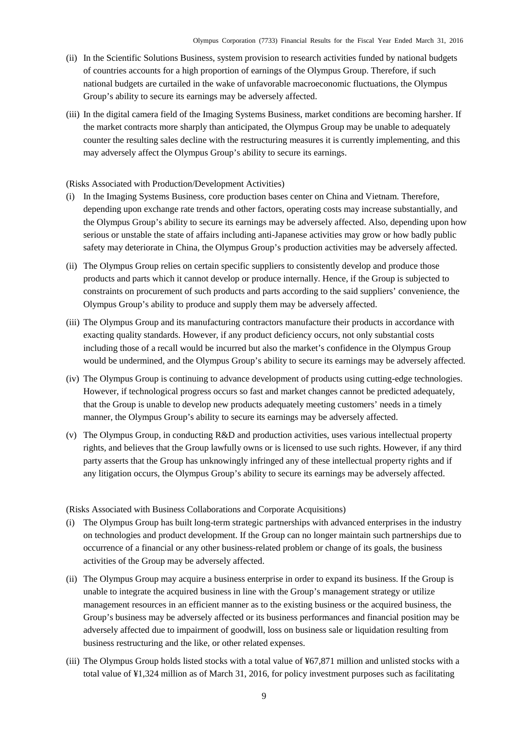- (ii) In the Scientific Solutions Business, system provision to research activities funded by national budgets of countries accounts for a high proportion of earnings of the Olympus Group. Therefore, if such national budgets are curtailed in the wake of unfavorable macroeconomic fluctuations, the Olympus Group's ability to secure its earnings may be adversely affected.
- (iii) In the digital camera field of the Imaging Systems Business, market conditions are becoming harsher. If the market contracts more sharply than anticipated, the Olympus Group may be unable to adequately counter the resulting sales decline with the restructuring measures it is currently implementing, and this may adversely affect the Olympus Group's ability to secure its earnings.

#### (Risks Associated with Production/Development Activities)

- (i) In the Imaging Systems Business, core production bases center on China and Vietnam. Therefore, depending upon exchange rate trends and other factors, operating costs may increase substantially, and the Olympus Group's ability to secure its earnings may be adversely affected. Also, depending upon how serious or unstable the state of affairs including anti-Japanese activities may grow or how badly public safety may deteriorate in China, the Olympus Group's production activities may be adversely affected.
- (ii) The Olympus Group relies on certain specific suppliers to consistently develop and produce those products and parts which it cannot develop or produce internally. Hence, if the Group is subjected to constraints on procurement of such products and parts according to the said suppliers' convenience, the Olympus Group's ability to produce and supply them may be adversely affected.
- (iii) The Olympus Group and its manufacturing contractors manufacture their products in accordance with exacting quality standards. However, if any product deficiency occurs, not only substantial costs including those of a recall would be incurred but also the market's confidence in the Olympus Group would be undermined, and the Olympus Group's ability to secure its earnings may be adversely affected.
- (iv) The Olympus Group is continuing to advance development of products using cutting-edge technologies. However, if technological progress occurs so fast and market changes cannot be predicted adequately, that the Group is unable to develop new products adequately meeting customers' needs in a timely manner, the Olympus Group's ability to secure its earnings may be adversely affected.
- (v) The Olympus Group, in conducting R&D and production activities, uses various intellectual property rights, and believes that the Group lawfully owns or is licensed to use such rights. However, if any third party asserts that the Group has unknowingly infringed any of these intellectual property rights and if any litigation occurs, the Olympus Group's ability to secure its earnings may be adversely affected.

(Risks Associated with Business Collaborations and Corporate Acquisitions)

- (i) The Olympus Group has built long-term strategic partnerships with advanced enterprises in the industry on technologies and product development. If the Group can no longer maintain such partnerships due to occurrence of a financial or any other business-related problem or change of its goals, the business activities of the Group may be adversely affected.
- (ii) The Olympus Group may acquire a business enterprise in order to expand its business. If the Group is unable to integrate the acquired business in line with the Group's management strategy or utilize management resources in an efficient manner as to the existing business or the acquired business, the Group's business may be adversely affected or its business performances and financial position may be adversely affected due to impairment of goodwill, loss on business sale or liquidation resulting from business restructuring and the like, or other related expenses.
- (iii) The Olympus Group holds listed stocks with a total value of ¥67,871 million and unlisted stocks with a total value of ¥1,324 million as of March 31, 2016, for policy investment purposes such as facilitating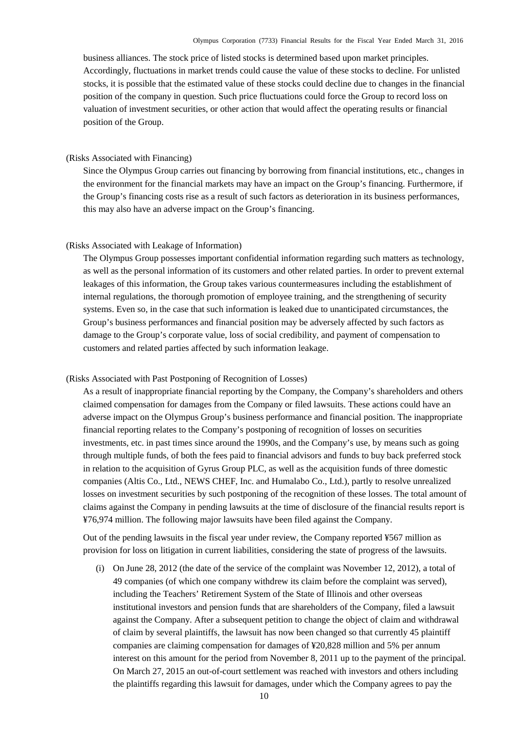business alliances. The stock price of listed stocks is determined based upon market principles. Accordingly, fluctuations in market trends could cause the value of these stocks to decline. For unlisted stocks, it is possible that the estimated value of these stocks could decline due to changes in the financial position of the company in question. Such price fluctuations could force the Group to record loss on valuation of investment securities, or other action that would affect the operating results or financial position of the Group.

### (Risks Associated with Financing)

Since the Olympus Group carries out financing by borrowing from financial institutions, etc., changes in the environment for the financial markets may have an impact on the Group's financing. Furthermore, if the Group's financing costs rise as a result of such factors as deterioration in its business performances, this may also have an adverse impact on the Group's financing.

#### (Risks Associated with Leakage of Information)

The Olympus Group possesses important confidential information regarding such matters as technology, as well as the personal information of its customers and other related parties. In order to prevent external leakages of this information, the Group takes various countermeasures including the establishment of internal regulations, the thorough promotion of employee training, and the strengthening of security systems. Even so, in the case that such information is leaked due to unanticipated circumstances, the Group's business performances and financial position may be adversely affected by such factors as damage to the Group's corporate value, loss of social credibility, and payment of compensation to customers and related parties affected by such information leakage.

#### (Risks Associated with Past Postponing of Recognition of Losses)

As a result of inappropriate financial reporting by the Company, the Company's shareholders and others claimed compensation for damages from the Company or filed lawsuits. These actions could have an adverse impact on the Olympus Group's business performance and financial position. The inappropriate financial reporting relates to the Company's postponing of recognition of losses on securities investments, etc. in past times since around the 1990s, and the Company's use, by means such as going through multiple funds, of both the fees paid to financial advisors and funds to buy back preferred stock in relation to the acquisition of Gyrus Group PLC, as well as the acquisition funds of three domestic companies (Altis Co., Ltd., NEWS CHEF, Inc. and Humalabo Co., Ltd.), partly to resolve unrealized losses on investment securities by such postponing of the recognition of these losses. The total amount of claims against the Company in pending lawsuits at the time of disclosure of the financial results report is ¥76,974 million. The following major lawsuits have been filed against the Company.

Out of the pending lawsuits in the fiscal year under review, the Company reported ¥567 million as provision for loss on litigation in current liabilities, considering the state of progress of the lawsuits.

(i) On June 28, 2012 (the date of the service of the complaint was November 12, 2012), a total of 49 companies (of which one company withdrew its claim before the complaint was served), including the Teachers' Retirement System of the State of Illinois and other overseas institutional investors and pension funds that are shareholders of the Company, filed a lawsuit against the Company. After a subsequent petition to change the object of claim and withdrawal of claim by several plaintiffs, the lawsuit has now been changed so that currently 45 plaintiff companies are claiming compensation for damages of ¥20,828 million and 5% per annum interest on this amount for the period from November 8, 2011 up to the payment of the principal. On March 27, 2015 an out-of-court settlement was reached with investors and others including the plaintiffs regarding this lawsuit for damages, under which the Company agrees to pay the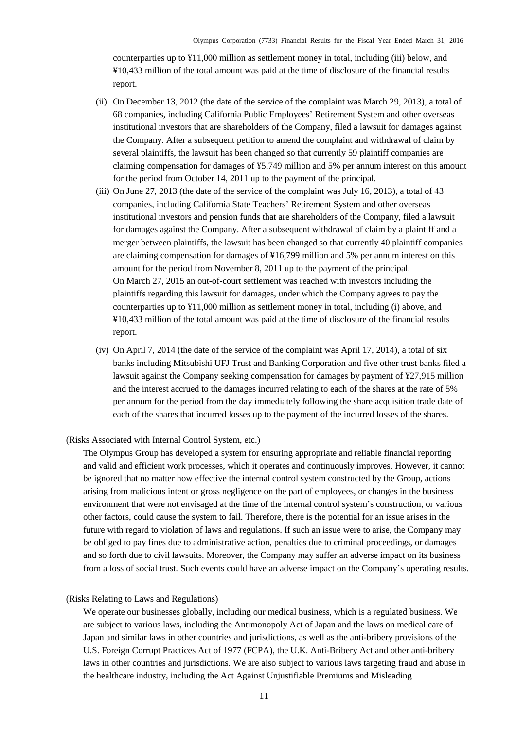counterparties up to ¥11,000 million as settlement money in total, including (iii) below, and ¥10,433 million of the total amount was paid at the time of disclosure of the financial results report.

- (ii) On December 13, 2012 (the date of the service of the complaint was March 29, 2013), a total of 68 companies, including California Public Employees' Retirement System and other overseas institutional investors that are shareholders of the Company, filed a lawsuit for damages against the Company. After a subsequent petition to amend the complaint and withdrawal of claim by several plaintiffs, the lawsuit has been changed so that currently 59 plaintiff companies are claiming compensation for damages of ¥5,749 million and 5% per annum interest on this amount for the period from October 14, 2011 up to the payment of the principal.
- (iii) On June 27, 2013 (the date of the service of the complaint was July 16, 2013), a total of 43 companies, including California State Teachers' Retirement System and other overseas institutional investors and pension funds that are shareholders of the Company, filed a lawsuit for damages against the Company. After a subsequent withdrawal of claim by a plaintiff and a merger between plaintiffs, the lawsuit has been changed so that currently 40 plaintiff companies are claiming compensation for damages of ¥16,799 million and 5% per annum interest on this amount for the period from November 8, 2011 up to the payment of the principal. On March 27, 2015 an out-of-court settlement was reached with investors including the plaintiffs regarding this lawsuit for damages, under which the Company agrees to pay the counterparties up to ¥11,000 million as settlement money in total, including (i) above, and ¥10,433 million of the total amount was paid at the time of disclosure of the financial results report.
- (iv) On April 7, 2014 (the date of the service of the complaint was April 17, 2014), a total of six banks including Mitsubishi UFJ Trust and Banking Corporation and five other trust banks filed a lawsuit against the Company seeking compensation for damages by payment of ¥27,915 million and the interest accrued to the damages incurred relating to each of the shares at the rate of 5% per annum for the period from the day immediately following the share acquisition trade date of each of the shares that incurred losses up to the payment of the incurred losses of the shares.

#### (Risks Associated with Internal Control System, etc.)

The Olympus Group has developed a system for ensuring appropriate and reliable financial reporting and valid and efficient work processes, which it operates and continuously improves. However, it cannot be ignored that no matter how effective the internal control system constructed by the Group, actions arising from malicious intent or gross negligence on the part of employees, or changes in the business environment that were not envisaged at the time of the internal control system's construction, or various other factors, could cause the system to fail. Therefore, there is the potential for an issue arises in the future with regard to violation of laws and regulations. If such an issue were to arise, the Company may be obliged to pay fines due to administrative action, penalties due to criminal proceedings, or damages and so forth due to civil lawsuits. Moreover, the Company may suffer an adverse impact on its business from a loss of social trust. Such events could have an adverse impact on the Company's operating results.

#### (Risks Relating to Laws and Regulations)

We operate our businesses globally, including our medical business, which is a regulated business. We are subject to various laws, including the Antimonopoly Act of Japan and the laws on medical care of Japan and similar laws in other countries and jurisdictions, as well as the anti-bribery provisions of the U.S. Foreign Corrupt Practices Act of 1977 (FCPA), the U.K. Anti-Bribery Act and other anti-bribery laws in other countries and jurisdictions. We are also subject to various laws targeting fraud and abuse in the healthcare industry, including the Act Against Unjustifiable Premiums and Misleading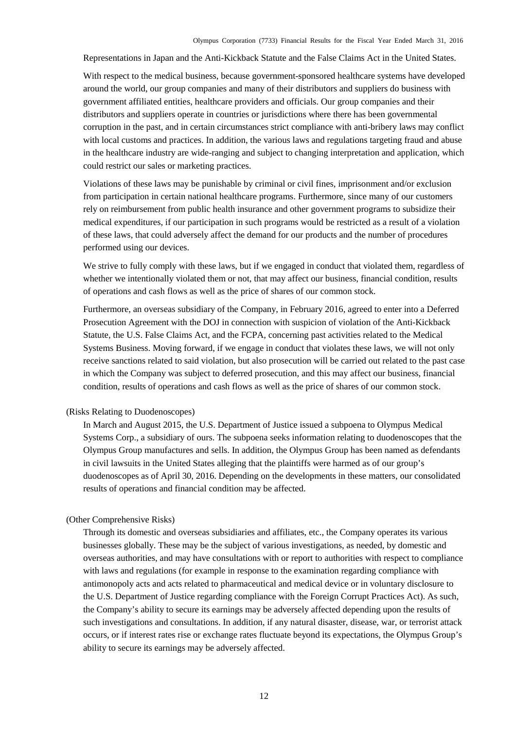Representations in Japan and the Anti-Kickback Statute and the False Claims Act in the United States.

With respect to the medical business, because government-sponsored healthcare systems have developed around the world, our group companies and many of their distributors and suppliers do business with government affiliated entities, healthcare providers and officials. Our group companies and their distributors and suppliers operate in countries or jurisdictions where there has been governmental corruption in the past, and in certain circumstances strict compliance with anti-bribery laws may conflict with local customs and practices. In addition, the various laws and regulations targeting fraud and abuse in the healthcare industry are wide-ranging and subject to changing interpretation and application, which could restrict our sales or marketing practices.

Violations of these laws may be punishable by criminal or civil fines, imprisonment and/or exclusion from participation in certain national healthcare programs. Furthermore, since many of our customers rely on reimbursement from public health insurance and other government programs to subsidize their medical expenditures, if our participation in such programs would be restricted as a result of a violation of these laws, that could adversely affect the demand for our products and the number of procedures performed using our devices.

We strive to fully comply with these laws, but if we engaged in conduct that violated them, regardless of whether we intentionally violated them or not, that may affect our business, financial condition, results of operations and cash flows as well as the price of shares of our common stock.

Furthermore, an overseas subsidiary of the Company, in February 2016, agreed to enter into a Deferred Prosecution Agreement with the DOJ in connection with suspicion of violation of the Anti-Kickback Statute, the U.S. False Claims Act, and the FCPA, concerning past activities related to the Medical Systems Business. Moving forward, if we engage in conduct that violates these laws, we will not only receive sanctions related to said violation, but also prosecution will be carried out related to the past case in which the Company was subject to deferred prosecution, and this may affect our business, financial condition, results of operations and cash flows as well as the price of shares of our common stock.

### (Risks Relating to Duodenoscopes)

In March and August 2015, the U.S. Department of Justice issued a subpoena to Olympus Medical Systems Corp., a subsidiary of ours. The subpoena seeks information relating to duodenoscopes that the Olympus Group manufactures and sells. In addition, the Olympus Group has been named as defendants in civil lawsuits in the United States alleging that the plaintiffs were harmed as of our group's duodenoscopes as of April 30, 2016. Depending on the developments in these matters, our consolidated results of operations and financial condition may be affected.

#### (Other Comprehensive Risks)

Through its domestic and overseas subsidiaries and affiliates, etc., the Company operates its various businesses globally. These may be the subject of various investigations, as needed, by domestic and overseas authorities, and may have consultations with or report to authorities with respect to compliance with laws and regulations (for example in response to the examination regarding compliance with antimonopoly acts and acts related to pharmaceutical and medical device or in voluntary disclosure to the U.S. Department of Justice regarding compliance with the Foreign Corrupt Practices Act). As such, the Company's ability to secure its earnings may be adversely affected depending upon the results of such investigations and consultations. In addition, if any natural disaster, disease, war, or terrorist attack occurs, or if interest rates rise or exchange rates fluctuate beyond its expectations, the Olympus Group's ability to secure its earnings may be adversely affected.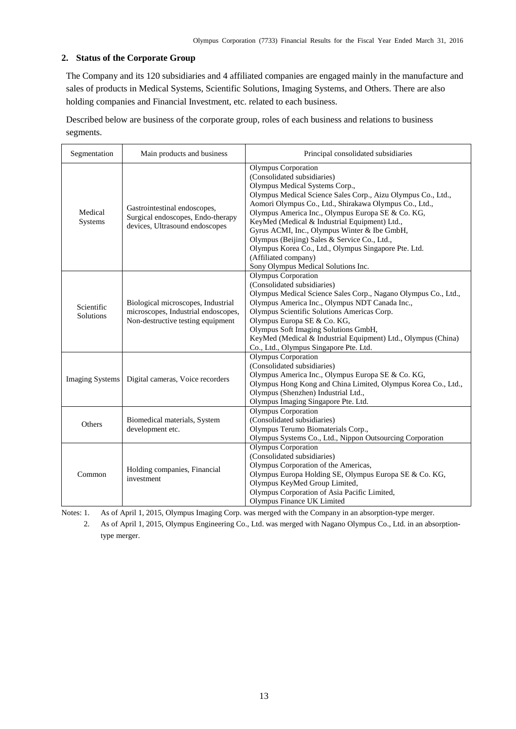# <span id="page-15-0"></span>**2. Status of the Corporate Group**

The Company and its 120 subsidiaries and 4 affiliated companies are engaged mainly in the manufacture and sales of products in Medical Systems, Scientific Solutions, Imaging Systems, and Others. There are also holding companies and Financial Investment, etc. related to each business.

Described below are business of the corporate group, roles of each business and relations to business segments.

| Segmentation                   | Main products and business                                                                                     | Principal consolidated subsidiaries                                                                                                                                                                                                                                                                                                                                                                                                                                                                                                                |
|--------------------------------|----------------------------------------------------------------------------------------------------------------|----------------------------------------------------------------------------------------------------------------------------------------------------------------------------------------------------------------------------------------------------------------------------------------------------------------------------------------------------------------------------------------------------------------------------------------------------------------------------------------------------------------------------------------------------|
| Medical<br>Systems             | Gastrointestinal endoscopes,<br>Surgical endoscopes, Endo-therapy<br>devices, Ultrasound endoscopes            | <b>Olympus</b> Corporation<br>(Consolidated subsidiaries)<br>Olympus Medical Systems Corp.,<br>Olympus Medical Science Sales Corp., Aizu Olympus Co., Ltd.,<br>Aomori Olympus Co., Ltd., Shirakawa Olympus Co., Ltd.,<br>Olympus America Inc., Olympus Europa SE & Co. KG,<br>KeyMed (Medical & Industrial Equipment) Ltd.,<br>Gyrus ACMI, Inc., Olympus Winter & Ibe GmbH,<br>Olympus (Beijing) Sales & Service Co., Ltd.,<br>Olympus Korea Co., Ltd., Olympus Singapore Pte. Ltd.<br>(Affiliated company)<br>Sony Olympus Medical Solutions Inc. |
| Scientific<br><b>Solutions</b> | Biological microscopes, Industrial<br>microscopes, Industrial endoscopes,<br>Non-destructive testing equipment | Olympus Corporation<br>(Consolidated subsidiaries)<br>Olympus Medical Science Sales Corp., Nagano Olympus Co., Ltd.,<br>Olympus America Inc., Olympus NDT Canada Inc.,<br>Olympus Scientific Solutions Americas Corp.<br>Olympus Europa SE & Co. KG,<br>Olympus Soft Imaging Solutions GmbH,<br>KeyMed (Medical & Industrial Equipment) Ltd., Olympus (China)<br>Co., Ltd., Olympus Singapore Pte. Ltd.                                                                                                                                            |
| <b>Imaging Systems</b>         | Digital cameras, Voice recorders                                                                               | Olympus Corporation<br>(Consolidated subsidiaries)<br>Olympus America Inc., Olympus Europa SE & Co. KG,<br>Olympus Hong Kong and China Limited, Olympus Korea Co., Ltd.,<br>Olympus (Shenzhen) Industrial Ltd.,<br>Olympus Imaging Singapore Pte. Ltd.                                                                                                                                                                                                                                                                                             |
| Others                         | Biomedical materials, System<br>development etc.                                                               | Olympus Corporation<br>(Consolidated subsidiaries)<br>Olympus Terumo Biomaterials Corp.,<br>Olympus Systems Co., Ltd., Nippon Outsourcing Corporation                                                                                                                                                                                                                                                                                                                                                                                              |
| Common                         | Holding companies, Financial<br>investment                                                                     | <b>Olympus Corporation</b><br>(Consolidated subsidiaries)<br>Olympus Corporation of the Americas,<br>Olympus Europa Holding SE, Olympus Europa SE & Co. KG,<br>Olympus KeyMed Group Limited,<br>Olympus Corporation of Asia Pacific Limited,<br>Olympus Finance UK Limited                                                                                                                                                                                                                                                                         |

Notes: 1. As of April 1, 2015, Olympus Imaging Corp. was merged with the Company in an absorption-type merger.

2. As of April 1, 2015, Olympus Engineering Co., Ltd. was merged with Nagano Olympus Co., Ltd. in an absorptiontype merger.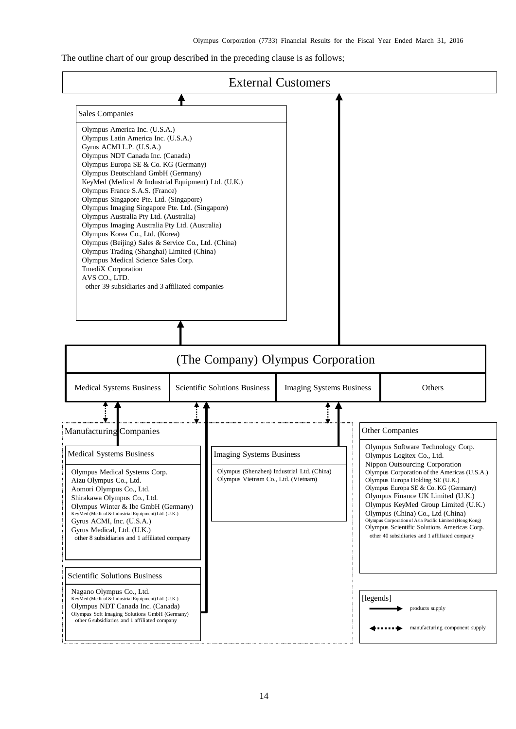The outline chart of our group described in the preceding clause is as follows;

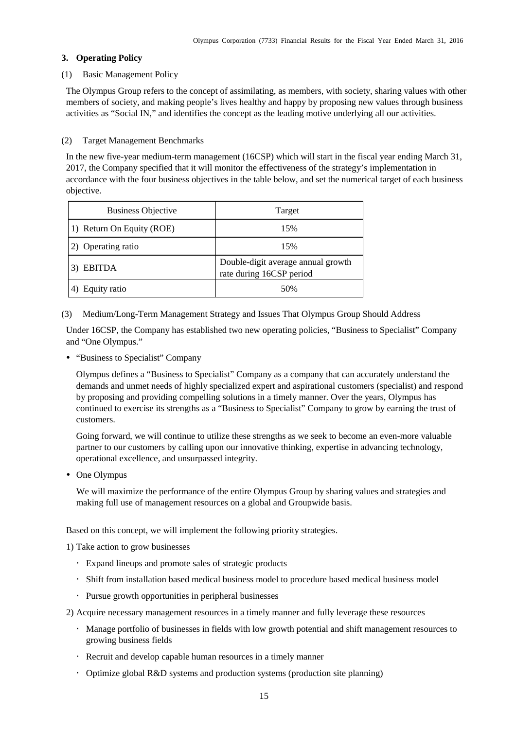### <span id="page-17-0"></span>**3. Operating Policy**

#### (1) Basic Management Policy

The Olympus Group refers to the concept of assimilating, as members, with society, sharing values with other members of society, and making people's lives healthy and happy by proposing new values through business activities as "Social IN," and identifies the concept as the leading motive underlying all our activities.

# (2) Target Management Benchmarks

In the new five-year medium-term management (16CSP) which will start in the fiscal year ending March 31, 2017, the Company specified that it will monitor the effectiveness of the strategy's implementation in accordance with the four business objectives in the table below, and set the numerical target of each business objective.

| <b>Business Objective</b> | Target                                                         |
|---------------------------|----------------------------------------------------------------|
| 1) Return On Equity (ROE) | 15%                                                            |
| 2) Operating ratio        | 15%                                                            |
| 3) EBITDA                 | Double-digit average annual growth<br>rate during 16CSP period |
| Equity ratio              | 50%                                                            |

(3) Medium/Long-Term Management Strategy and Issues That Olympus Group Should Address

Under 16CSP, the Company has established two new operating policies, "Business to Specialist" Company and "One Olympus."

"Business to Specialist" Company

Olympus defines a "Business to Specialist" Company as a company that can accurately understand the demands and unmet needs of highly specialized expert and aspirational customers (specialist) and respond by proposing and providing compelling solutions in a timely manner. Over the years, Olympus has continued to exercise its strengths as a "Business to Specialist" Company to grow by earning the trust of customers.

Going forward, we will continue to utilize these strengths as we seek to become an even-more valuable partner to our customers by calling upon our innovative thinking, expertise in advancing technology, operational excellence, and unsurpassed integrity.

• One Olympus

We will maximize the performance of the entire Olympus Group by sharing values and strategies and making full use of management resources on a global and Groupwide basis.

Based on this concept, we will implement the following priority strategies.

1) Take action to grow businesses

- Expand lineups and promote sales of strategic products
- Shift from installation based medical business model to procedure based medical business model
- Pursue growth opportunities in peripheral businesses

2) Acquire necessary management resources in a timely manner and fully leverage these resources

- Manage portfolio of businesses in fields with low growth potential and shift management resources to growing business fields
- Recruit and develop capable human resources in a timely manner
- Optimize global R&D systems and production systems (production site planning)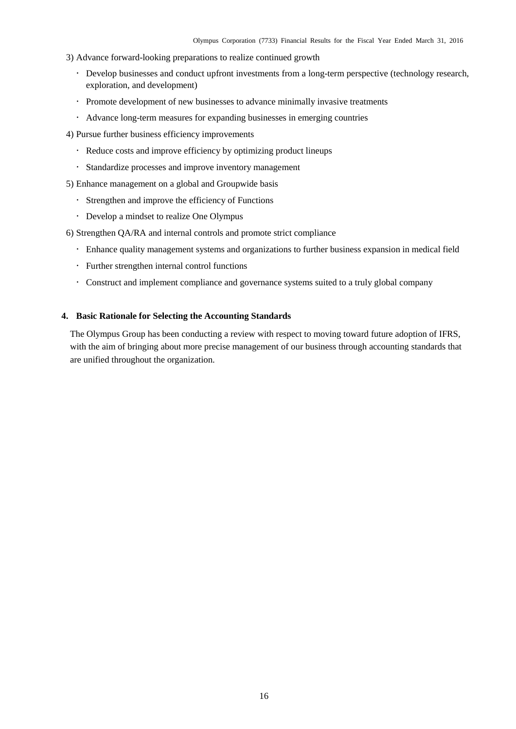- 3) Advance forward-looking preparations to realize continued growth
	- Develop businesses and conduct upfront investments from a long-term perspective (technology research, exploration, and development)
	- Promote development of new businesses to advance minimally invasive treatments
	- Advance long-term measures for expanding businesses in emerging countries
- 4) Pursue further business efficiency improvements
	- Reduce costs and improve efficiency by optimizing product lineups
	- Standardize processes and improve inventory management
- 5) Enhance management on a global and Groupwide basis
	- Strengthen and improve the efficiency of Functions
	- Develop a mindset to realize One Olympus
- 6) Strengthen QA/RA and internal controls and promote strict compliance
	- Enhance quality management systems and organizations to further business expansion in medical field
	- Further strengthen internal control functions
	- Construct and implement compliance and governance systems suited to a truly global company

#### <span id="page-18-0"></span>**4. Basic Rationale for Selecting the Accounting Standards**

The Olympus Group has been conducting a review with respect to moving toward future adoption of IFRS, with the aim of bringing about more precise management of our business through accounting standards that are unified throughout the organization.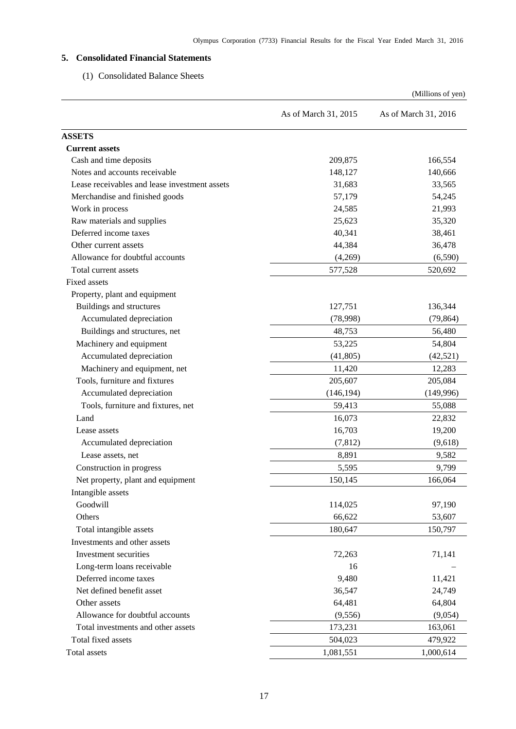# <span id="page-19-1"></span><span id="page-19-0"></span>**5. Consolidated Financial Statements**

# (1) Consolidated Balance Sheets

|                                               |                      | (Millions of yen)    |
|-----------------------------------------------|----------------------|----------------------|
|                                               | As of March 31, 2015 | As of March 31, 2016 |
| <b>ASSETS</b>                                 |                      |                      |
| <b>Current assets</b>                         |                      |                      |
| Cash and time deposits                        | 209,875              | 166,554              |
| Notes and accounts receivable                 | 148,127              | 140,666              |
| Lease receivables and lease investment assets | 31,683               | 33,565               |
| Merchandise and finished goods                | 57,179               | 54,245               |
| Work in process                               | 24,585               | 21,993               |
| Raw materials and supplies                    | 25,623               | 35,320               |
| Deferred income taxes                         | 40,341               | 38,461               |
| Other current assets                          | 44,384               | 36,478               |
| Allowance for doubtful accounts               | (4,269)              | (6,590)              |
| Total current assets                          | 577,528              | 520,692              |
| Fixed assets                                  |                      |                      |
| Property, plant and equipment                 |                      |                      |
| Buildings and structures                      | 127,751              | 136,344              |
| Accumulated depreciation                      | (78,998)             | (79, 864)            |
| Buildings and structures, net                 | 48,753               | 56,480               |
| Machinery and equipment                       | 53,225               | 54,804               |
| Accumulated depreciation                      | (41, 805)            | (42, 521)            |
| Machinery and equipment, net                  | 11,420               | 12,283               |
| Tools, furniture and fixtures                 | 205,607              | 205,084              |
| Accumulated depreciation                      | (146, 194)           | (149,996)            |
| Tools, furniture and fixtures, net            | 59,413               | 55,088               |
| Land                                          | 16,073               | 22,832               |
| Lease assets                                  | 16,703               | 19,200               |
| Accumulated depreciation                      | (7, 812)             | (9,618)              |
| Lease assets, net                             | 8,891                | 9,582                |
| Construction in progress                      | 5,595                | 9,799                |
| Net property, plant and equipment             | 150,145              | 166,064              |
| Intangible assets                             |                      |                      |
| Goodwill                                      | 114,025              | 97,190               |
| Others                                        | 66,622               | 53,607               |
| Total intangible assets                       | 180,647              | 150,797              |
| Investments and other assets                  |                      |                      |
| Investment securities                         | 72,263               | 71,141               |
| Long-term loans receivable                    | 16                   |                      |
| Deferred income taxes                         | 9,480                | 11,421               |
| Net defined benefit asset                     | 36,547               | 24,749               |
| Other assets                                  | 64,481               | 64,804               |
| Allowance for doubtful accounts               | (9, 556)             | (9,054)              |
| Total investments and other assets            | 173,231              | 163,061              |
| Total fixed assets                            | 504,023              | 479,922              |
| Total assets                                  | 1,081,551            | 1,000,614            |
|                                               |                      |                      |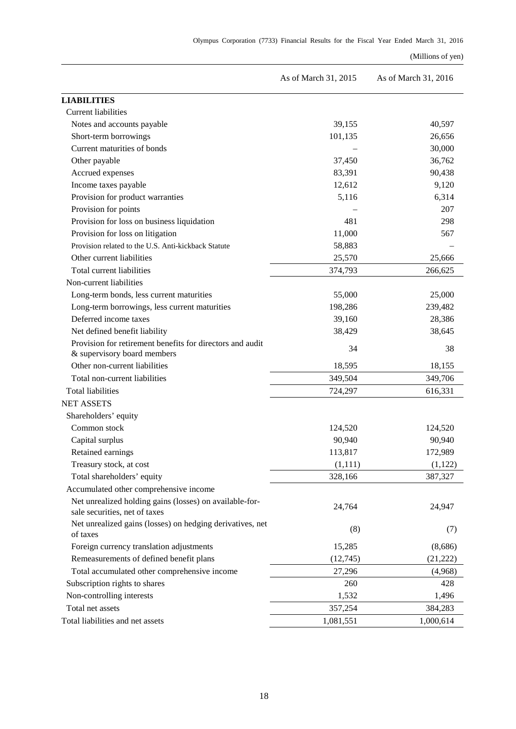## (Millions of yen)

|                                                                                          | As of March 31, 2015 | As of March 31, 2016 |  |  |
|------------------------------------------------------------------------------------------|----------------------|----------------------|--|--|
| <b>LIABILITIES</b>                                                                       |                      |                      |  |  |
| <b>Current liabilities</b>                                                               |                      |                      |  |  |
| Notes and accounts payable                                                               | 39,155               | 40,597               |  |  |
| Short-term borrowings                                                                    | 101,135              | 26,656               |  |  |
| Current maturities of bonds                                                              |                      | 30,000               |  |  |
| Other payable                                                                            | 37,450               | 36,762               |  |  |
| Accrued expenses                                                                         | 83,391               | 90,438               |  |  |
| Income taxes payable                                                                     | 12,612               | 9,120                |  |  |
| Provision for product warranties                                                         | 5,116                | 6,314                |  |  |
| Provision for points                                                                     |                      | 207                  |  |  |
| Provision for loss on business liquidation                                               | 481                  | 298                  |  |  |
| Provision for loss on litigation                                                         | 11,000               | 567                  |  |  |
| Provision related to the U.S. Anti-kickback Statute                                      | 58,883               |                      |  |  |
| Other current liabilities                                                                | 25,570               | 25,666               |  |  |
| Total current liabilities                                                                | 374,793              | 266,625              |  |  |
| Non-current liabilities                                                                  |                      |                      |  |  |
| Long-term bonds, less current maturities                                                 | 55,000               | 25,000               |  |  |
| Long-term borrowings, less current maturities                                            | 198,286              | 239,482              |  |  |
| Deferred income taxes                                                                    | 39,160               | 28,386               |  |  |
| Net defined benefit liability                                                            | 38,429               | 38,645               |  |  |
| Provision for retirement benefits for directors and audit<br>& supervisory board members | 34                   | 38                   |  |  |
| Other non-current liabilities                                                            | 18,595               | 18,155               |  |  |
| Total non-current liabilities                                                            | 349,504              | 349,706              |  |  |
| <b>Total liabilities</b>                                                                 | 724,297              | 616,331              |  |  |
| <b>NET ASSETS</b>                                                                        |                      |                      |  |  |
| Shareholders' equity                                                                     |                      |                      |  |  |
| Common stock                                                                             | 124,520              | 124,520              |  |  |
| Capital surplus                                                                          | 90,940               | 90,940               |  |  |
| Retained earnings                                                                        | 113,817              | 172,989              |  |  |
| Treasury stock, at cost                                                                  | (1, 111)             | (1, 122)             |  |  |
| Total shareholders' equity                                                               | 328,166              | 387,327              |  |  |
| Accumulated other comprehensive income                                                   |                      |                      |  |  |
| Net unrealized holding gains (losses) on available-for-<br>sale securities, net of taxes | 24,764               | 24,947               |  |  |
| Net unrealized gains (losses) on hedging derivatives, net<br>of taxes                    | (8)                  | (7)                  |  |  |
| Foreign currency translation adjustments                                                 | 15,285               | (8,686)              |  |  |
| Remeasurements of defined benefit plans                                                  | (12,745)             | (21, 222)            |  |  |
| Total accumulated other comprehensive income                                             | 27,296               | (4,968)              |  |  |
| Subscription rights to shares                                                            | 260                  | 428                  |  |  |
| Non-controlling interests                                                                | 1,532                | 1,496                |  |  |
| Total net assets                                                                         | 357,254              | 384,283              |  |  |
| Total liabilities and net assets                                                         | 1,081,551            | 1,000,614            |  |  |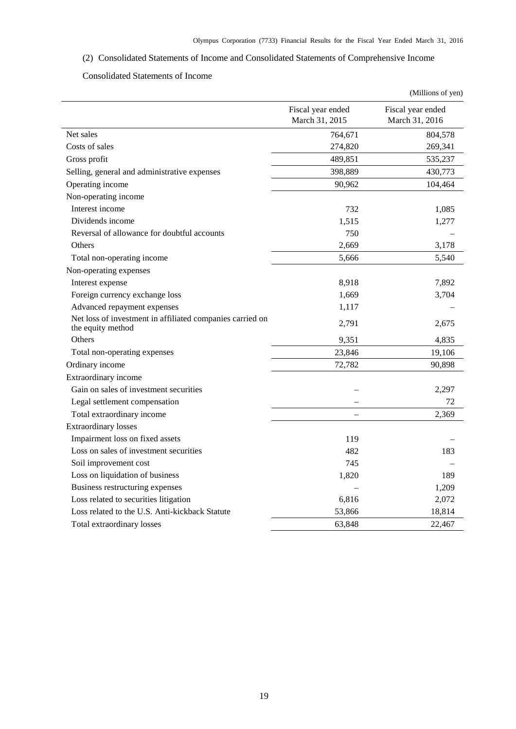# <span id="page-21-0"></span>(2) Consolidated Statements of Income and Consolidated Statements of Comprehensive Income

## Consolidated Statements of Income

<span id="page-21-1"></span>

|                                                                                |                                     | (Millions of yen)                   |
|--------------------------------------------------------------------------------|-------------------------------------|-------------------------------------|
|                                                                                | Fiscal year ended<br>March 31, 2015 | Fiscal year ended<br>March 31, 2016 |
| Net sales                                                                      | 764,671                             | 804,578                             |
| Costs of sales                                                                 | 274,820                             | 269,341                             |
| Gross profit                                                                   | 489,851                             | 535,237                             |
| Selling, general and administrative expenses                                   | 398,889                             | 430,773                             |
| Operating income                                                               | 90,962                              | 104,464                             |
| Non-operating income                                                           |                                     |                                     |
| Interest income                                                                | 732                                 | 1,085                               |
| Dividends income                                                               | 1,515                               | 1,277                               |
| Reversal of allowance for doubtful accounts                                    | 750                                 |                                     |
| Others                                                                         | 2.669                               | 3,178                               |
| Total non-operating income                                                     | 5,666                               | 5,540                               |
| Non-operating expenses                                                         |                                     |                                     |
| Interest expense                                                               | 8,918                               | 7,892                               |
| Foreign currency exchange loss                                                 | 1,669                               | 3,704                               |
| Advanced repayment expenses                                                    | 1,117                               |                                     |
| Net loss of investment in affiliated companies carried on<br>the equity method | 2,791                               | 2,675                               |
| Others                                                                         | 9,351                               | 4,835                               |
| Total non-operating expenses                                                   | 23,846                              | 19,106                              |
| Ordinary income                                                                | 72,782                              | 90,898                              |
| Extraordinary income                                                           |                                     |                                     |
| Gain on sales of investment securities                                         |                                     | 2,297                               |
| Legal settlement compensation                                                  |                                     | 72                                  |
| Total extraordinary income                                                     |                                     | 2,369                               |
| <b>Extraordinary losses</b>                                                    |                                     |                                     |
| Impairment loss on fixed assets                                                | 119                                 |                                     |
| Loss on sales of investment securities                                         | 482                                 | 183                                 |
| Soil improvement cost                                                          | 745                                 |                                     |
| Loss on liquidation of business                                                | 1,820                               | 189                                 |
| Business restructuring expenses                                                |                                     | 1,209                               |
| Loss related to securities litigation                                          | 6,816                               | 2,072                               |
| Loss related to the U.S. Anti-kickback Statute                                 | 53,866                              | 18,814                              |
| Total extraordinary losses                                                     | 63,848                              | 22,467                              |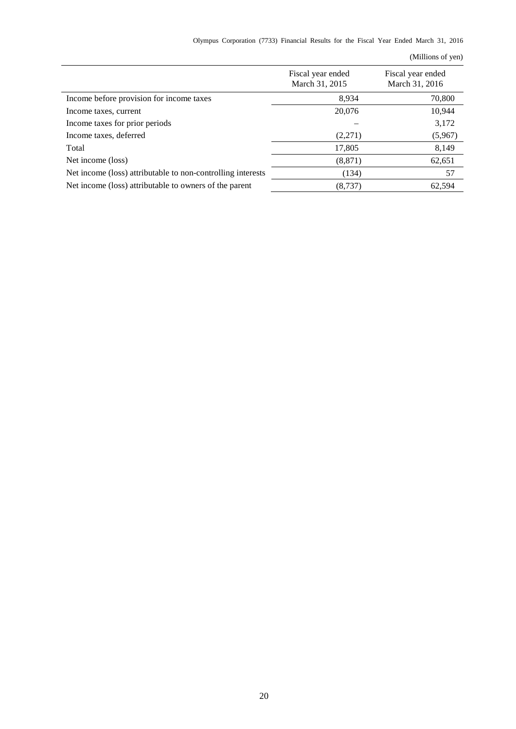|  | Olympus Corporation (7733) Financial Results for the Fiscal Year Ended March 31, 2016 |  |  |  |  |  |  |  |  |  |  |  |
|--|---------------------------------------------------------------------------------------|--|--|--|--|--|--|--|--|--|--|--|
|--|---------------------------------------------------------------------------------------|--|--|--|--|--|--|--|--|--|--|--|

| Fiscal year ended<br>March 31, 2015 | Fiscal year ended<br>March 31, 2016 |
|-------------------------------------|-------------------------------------|
| 8,934                               | 70,800                              |
| 20,076                              | 10,944                              |
|                                     | 3,172                               |
| (2,271)                             | (5,967)                             |
| 17,805                              | 8,149                               |
| (8, 871)                            | 62,651                              |
| (134)                               | 57                                  |
| (8,737)                             | 62,594                              |
|                                     |                                     |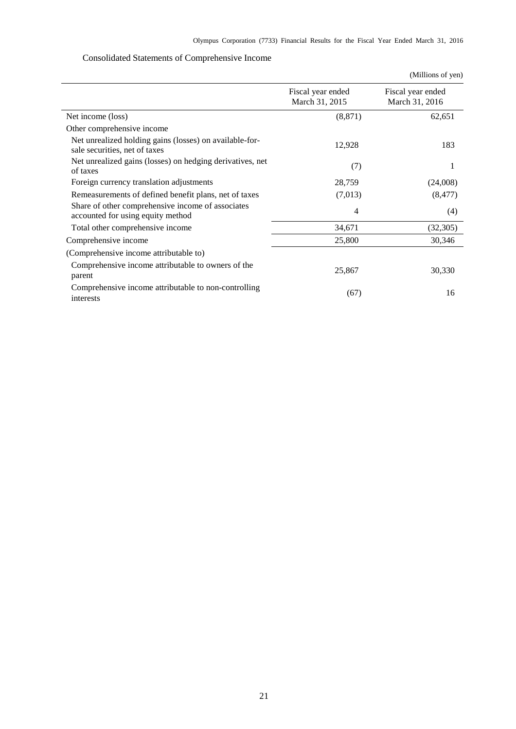# Consolidated Statements of Comprehensive Income

<span id="page-23-0"></span>

|                                                                                          |                                     | (Millions of yen)                   |
|------------------------------------------------------------------------------------------|-------------------------------------|-------------------------------------|
|                                                                                          | Fiscal year ended<br>March 31, 2015 | Fiscal year ended<br>March 31, 2016 |
| Net income (loss)                                                                        | (8, 871)                            | 62,651                              |
| Other comprehensive income                                                               |                                     |                                     |
| Net unrealized holding gains (losses) on available-for-<br>sale securities, net of taxes | 12,928                              | 183                                 |
| Net unrealized gains (losses) on hedging derivatives, net<br>of taxes                    | (7)                                 | 1                                   |
| Foreign currency translation adjustments                                                 | 28,759                              | (24,008)                            |
| Remeasurements of defined benefit plans, net of taxes                                    | (7,013)                             | (8, 477)                            |
| Share of other comprehensive income of associates<br>accounted for using equity method   | 4                                   | (4)                                 |
| Total other comprehensive income                                                         | 34,671                              | (32, 305)                           |
| Comprehensive income                                                                     | 25,800                              | 30,346                              |
| (Comprehensive income attributable to)                                                   |                                     |                                     |
| Comprehensive income attributable to owners of the<br>parent                             | 25,867                              | 30,330                              |
| Comprehensive income attributable to non-controlling<br>interests                        | (67)                                | 16                                  |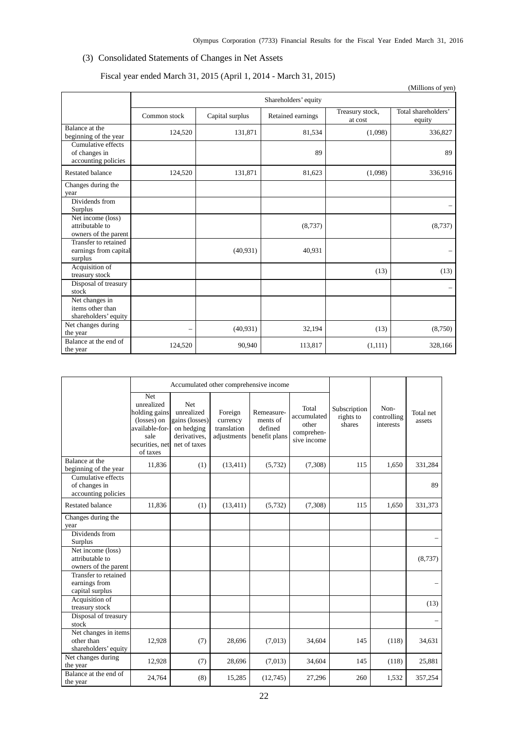# <span id="page-24-0"></span>(3) Consolidated Statements of Changes in Net Assets

# Fiscal year ended March 31, 2015 (April 1, 2014 - March 31, 2015)

|                                                              |                          |                 |                   |                            | (Millions of yen)             |  |  |  |  |  |
|--------------------------------------------------------------|--------------------------|-----------------|-------------------|----------------------------|-------------------------------|--|--|--|--|--|
|                                                              | Shareholders' equity     |                 |                   |                            |                               |  |  |  |  |  |
|                                                              | Common stock             | Capital surplus | Retained earnings | Treasury stock,<br>at cost | Total shareholders'<br>equity |  |  |  |  |  |
| Balance at the<br>beginning of the year                      | 124,520                  | 131,871         | 81,534            | (1,098)                    | 336,827                       |  |  |  |  |  |
| Cumulative effects<br>of changes in<br>accounting policies   |                          |                 | 89                |                            | 89                            |  |  |  |  |  |
| <b>Restated balance</b>                                      | 124,520                  | 131,871         | 81,623            | (1,098)                    | 336,916                       |  |  |  |  |  |
| Changes during the<br>year                                   |                          |                 |                   |                            |                               |  |  |  |  |  |
| Dividends from<br><b>Surplus</b>                             |                          |                 |                   |                            |                               |  |  |  |  |  |
| Net income (loss)<br>attributable to<br>owners of the parent |                          |                 | (8,737)           |                            | (8,737)                       |  |  |  |  |  |
| Transfer to retained<br>earnings from capital<br>surplus     |                          | (40, 931)       | 40,931            |                            |                               |  |  |  |  |  |
| Acquisition of<br>treasury stock                             |                          |                 |                   | (13)                       | (13)                          |  |  |  |  |  |
| Disposal of treasury<br>stock                                |                          |                 |                   |                            |                               |  |  |  |  |  |
| Net changes in<br>items other than<br>shareholders' equity   |                          |                 |                   |                            |                               |  |  |  |  |  |
| Net changes during<br>the year                               | $\overline{\phantom{0}}$ | (40, 931)       | 32,194            | (13)                       | (8,750)                       |  |  |  |  |  |
| Balance at the end of<br>the year                            | 124,520                  | 90,940          | 113,817           | (1,111)                    | 328,166                       |  |  |  |  |  |

|                                                              |                                                                                                            | Accumulated other comprehensive income                                                   |                                                   |                                                    |                                                            |                                     |                                  |                     |
|--------------------------------------------------------------|------------------------------------------------------------------------------------------------------------|------------------------------------------------------------------------------------------|---------------------------------------------------|----------------------------------------------------|------------------------------------------------------------|-------------------------------------|----------------------------------|---------------------|
|                                                              | Net<br>unrealized<br>holding gains<br>(losses) on<br>available-for-<br>sale<br>securities, net<br>of taxes | <b>Net</b><br>unrealized<br>gains (losses)<br>on hedging<br>derivatives,<br>net of taxes | Foreign<br>currency<br>translation<br>adjustments | Remeasure-<br>ments of<br>defined<br>benefit plans | Total<br>accumulated<br>other<br>comprehen-<br>sive income | Subscription<br>rights to<br>shares | Non-<br>controlling<br>interests | Total net<br>assets |
| Balance at the<br>beginning of the year                      | 11,836                                                                                                     | (1)                                                                                      | (13, 411)                                         | (5,732)                                            | (7,308)                                                    | 115                                 | 1,650                            | 331,284             |
| Cumulative effects<br>of changes in<br>accounting policies   |                                                                                                            |                                                                                          |                                                   |                                                    |                                                            |                                     |                                  | 89                  |
| <b>Restated balance</b>                                      | 11,836                                                                                                     | (1)                                                                                      | (13, 411)                                         | (5,732)                                            | (7,308)                                                    | 115                                 | 1,650                            | 331,373             |
| Changes during the<br>year                                   |                                                                                                            |                                                                                          |                                                   |                                                    |                                                            |                                     |                                  |                     |
| Dividends from<br>Surplus                                    |                                                                                                            |                                                                                          |                                                   |                                                    |                                                            |                                     |                                  |                     |
| Net income (loss)<br>attributable to<br>owners of the parent |                                                                                                            |                                                                                          |                                                   |                                                    |                                                            |                                     |                                  | (8,737)             |
| Transfer to retained<br>earnings from<br>capital surplus     |                                                                                                            |                                                                                          |                                                   |                                                    |                                                            |                                     |                                  |                     |
| Acquisition of<br>treasury stock                             |                                                                                                            |                                                                                          |                                                   |                                                    |                                                            |                                     |                                  | (13)                |
| Disposal of treasury<br>stock                                |                                                                                                            |                                                                                          |                                                   |                                                    |                                                            |                                     |                                  |                     |
| Net changes in items<br>other than<br>shareholders' equity   | 12,928                                                                                                     | (7)                                                                                      | 28,696                                            | (7,013)                                            | 34,604                                                     | 145                                 | (118)                            | 34,631              |
| Net changes during<br>the year                               | 12,928                                                                                                     | (7)                                                                                      | 28,696                                            | (7,013)                                            | 34,604                                                     | 145                                 | (118)                            | 25,881              |
| Balance at the end of<br>the year                            | 24,764                                                                                                     | (8)                                                                                      | 15,285                                            | (12,745)                                           | 27,296                                                     | 260                                 | 1,532                            | 357,254             |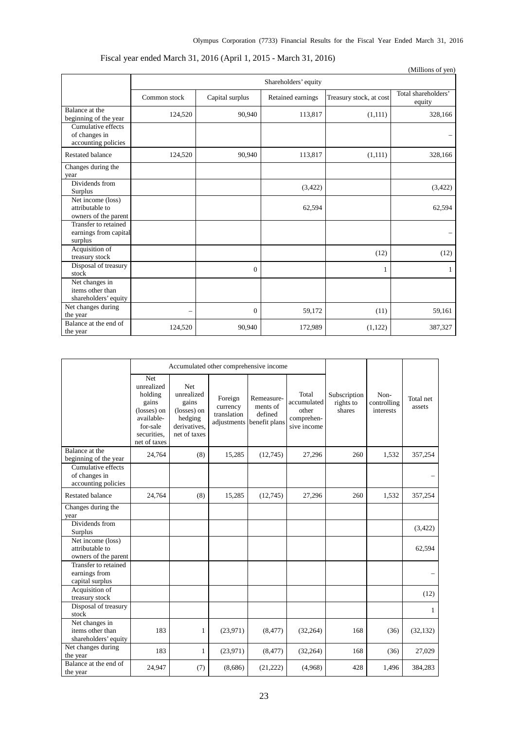|                                                              |                      |                 |                   |                         | (Millions of yen)             |  |  |  |  |  |
|--------------------------------------------------------------|----------------------|-----------------|-------------------|-------------------------|-------------------------------|--|--|--|--|--|
|                                                              | Shareholders' equity |                 |                   |                         |                               |  |  |  |  |  |
|                                                              | Common stock         | Capital surplus | Retained earnings | Treasury stock, at cost | Total shareholders'<br>equity |  |  |  |  |  |
| Balance at the<br>beginning of the year                      | 124,520              | 90,940          | 113,817           | (1,111)                 | 328,166                       |  |  |  |  |  |
| Cumulative effects<br>of changes in<br>accounting policies   |                      |                 |                   |                         |                               |  |  |  |  |  |
| <b>Restated balance</b>                                      | 124,520              | 90,940          | 113,817           | (1,111)                 | 328,166                       |  |  |  |  |  |
| Changes during the<br>year                                   |                      |                 |                   |                         |                               |  |  |  |  |  |
| Dividends from<br>Surplus                                    |                      |                 | (3,422)           |                         | (3, 422)                      |  |  |  |  |  |
| Net income (loss)<br>attributable to<br>owners of the parent |                      |                 | 62,594            |                         | 62,594                        |  |  |  |  |  |
| Transfer to retained<br>earnings from capital<br>surplus     |                      |                 |                   |                         |                               |  |  |  |  |  |
| Acquisition of<br>treasury stock                             |                      |                 |                   | (12)                    | (12)                          |  |  |  |  |  |
| Disposal of treasury<br>stock                                |                      | $\overline{0}$  |                   | 1                       | 1                             |  |  |  |  |  |
| Net changes in<br>items other than<br>shareholders' equity   |                      |                 |                   |                         |                               |  |  |  |  |  |
| Net changes during<br>the year                               | -                    | 0               | 59,172            | (11)                    | 59,161                        |  |  |  |  |  |
| Balance at the end of<br>the year                            | 124,520              | 90,940          | 172,989           | (1, 122)                | 387,327                       |  |  |  |  |  |

# Fiscal year ended March 31, 2016 (April 1, 2015 - March 31, 2016)

|                                                              |                                                                                                                      |                                                                                      |                                                   | Accumulated other comprehensive income             |                                                            |                                     |                                  |                     |
|--------------------------------------------------------------|----------------------------------------------------------------------------------------------------------------------|--------------------------------------------------------------------------------------|---------------------------------------------------|----------------------------------------------------|------------------------------------------------------------|-------------------------------------|----------------------------------|---------------------|
|                                                              | <b>Net</b><br>unrealized<br>holding<br>gains<br>(losses) on<br>available-<br>for-sale<br>securities.<br>net of taxes | Net<br>unrealized<br>gains<br>(losses) on<br>hedging<br>derivatives.<br>net of taxes | Foreign<br>currency<br>translation<br>adjustments | Remeasure-<br>ments of<br>defined<br>benefit plans | Total<br>accumulated<br>other<br>comprehen-<br>sive income | Subscription<br>rights to<br>shares | Non-<br>controlling<br>interests | Total net<br>assets |
| Balance at the<br>beginning of the year                      | 24,764                                                                                                               | (8)                                                                                  | 15,285                                            | (12,745)                                           | 27,296                                                     | 260                                 | 1,532                            | 357,254             |
| Cumulative effects<br>of changes in<br>accounting policies   |                                                                                                                      |                                                                                      |                                                   |                                                    |                                                            |                                     |                                  |                     |
| <b>Restated balance</b>                                      | 24.764                                                                                                               | (8)                                                                                  | 15,285                                            | (12,745)                                           | 27,296                                                     | 260                                 | 1,532                            | 357,254             |
| Changes during the<br>year                                   |                                                                                                                      |                                                                                      |                                                   |                                                    |                                                            |                                     |                                  |                     |
| Dividends from<br><b>Surplus</b>                             |                                                                                                                      |                                                                                      |                                                   |                                                    |                                                            |                                     |                                  | (3,422)             |
| Net income (loss)<br>attributable to<br>owners of the parent |                                                                                                                      |                                                                                      |                                                   |                                                    |                                                            |                                     |                                  | 62,594              |
| Transfer to retained<br>earnings from<br>capital surplus     |                                                                                                                      |                                                                                      |                                                   |                                                    |                                                            |                                     |                                  |                     |
| Acquisition of<br>treasury stock                             |                                                                                                                      |                                                                                      |                                                   |                                                    |                                                            |                                     |                                  | (12)                |
| Disposal of treasury<br>stock                                |                                                                                                                      |                                                                                      |                                                   |                                                    |                                                            |                                     |                                  | $\mathbf{1}$        |
| Net changes in<br>items other than<br>shareholders' equity   | 183                                                                                                                  | 1                                                                                    | (23,971)                                          | (8, 477)                                           | (32, 264)                                                  | 168                                 | (36)                             | (32, 132)           |
| Net changes during<br>the year                               | 183                                                                                                                  | 1                                                                                    | (23,971)                                          | (8, 477)                                           | (32, 264)                                                  | 168                                 | (36)                             | 27,029              |
| Balance at the end of<br>the year                            | 24,947                                                                                                               | (7)                                                                                  | (8,686)                                           | (21,222)                                           | (4,968)                                                    | 428                                 | 1,496                            | 384,283             |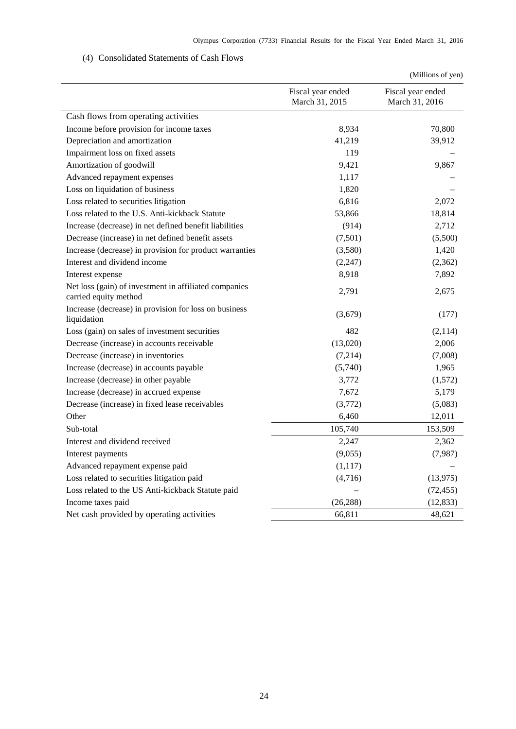# (4) Consolidated Statements of Cash Flows

<span id="page-26-0"></span>

|                                                                                |                                     | (Millions of yen)                   |  |  |
|--------------------------------------------------------------------------------|-------------------------------------|-------------------------------------|--|--|
|                                                                                | Fiscal year ended<br>March 31, 2015 | Fiscal year ended<br>March 31, 2016 |  |  |
| Cash flows from operating activities                                           |                                     |                                     |  |  |
| Income before provision for income taxes                                       | 8,934                               | 70,800                              |  |  |
| Depreciation and amortization                                                  | 41,219                              | 39,912                              |  |  |
| Impairment loss on fixed assets                                                | 119                                 |                                     |  |  |
| Amortization of goodwill                                                       | 9,421                               | 9,867                               |  |  |
| Advanced repayment expenses                                                    | 1,117                               |                                     |  |  |
| Loss on liquidation of business                                                | 1,820                               |                                     |  |  |
| Loss related to securities litigation                                          | 6,816                               | 2,072                               |  |  |
| Loss related to the U.S. Anti-kickback Statute                                 | 53,866                              | 18,814                              |  |  |
| Increase (decrease) in net defined benefit liabilities                         | (914)                               | 2,712                               |  |  |
| Decrease (increase) in net defined benefit assets                              | (7,501)                             | (5,500)                             |  |  |
| Increase (decrease) in provision for product warranties                        | (3,580)                             | 1,420                               |  |  |
| Interest and dividend income                                                   | (2, 247)                            | (2,362)                             |  |  |
| Interest expense                                                               | 8,918                               | 7,892                               |  |  |
| Net loss (gain) of investment in affiliated companies<br>carried equity method | 2,791                               | 2,675                               |  |  |
| Increase (decrease) in provision for loss on business<br>liquidation           | (3,679)                             | (177)                               |  |  |
| Loss (gain) on sales of investment securities                                  | 482                                 | (2,114)                             |  |  |
| Decrease (increase) in accounts receivable                                     | (13,020)                            | 2,006                               |  |  |
| Decrease (increase) in inventories                                             | (7,214)                             | (7,008)                             |  |  |
| Increase (decrease) in accounts payable                                        | (5,740)                             | 1,965                               |  |  |
| Increase (decrease) in other payable                                           | 3,772                               | (1,572)                             |  |  |
| Increase (decrease) in accrued expense                                         | 7,672                               | 5,179                               |  |  |
| Decrease (increase) in fixed lease receivables                                 | (3,772)                             | (5,083)                             |  |  |
| Other                                                                          | 6,460                               | 12,011                              |  |  |
| Sub-total                                                                      | 105,740                             | 153,509                             |  |  |
| Interest and dividend received                                                 | 2,247                               | 2,362                               |  |  |
| Interest payments                                                              | (9,055)                             | (7,987)                             |  |  |
| Advanced repayment expense paid                                                | (1,117)                             |                                     |  |  |
| Loss related to securities litigation paid                                     | (4,716)                             | (13, 975)                           |  |  |
| Loss related to the US Anti-kickback Statute paid                              |                                     | (72, 455)                           |  |  |
| Income taxes paid                                                              | (26, 288)                           | (12, 833)                           |  |  |
| Net cash provided by operating activities                                      | 66,811                              | 48,621                              |  |  |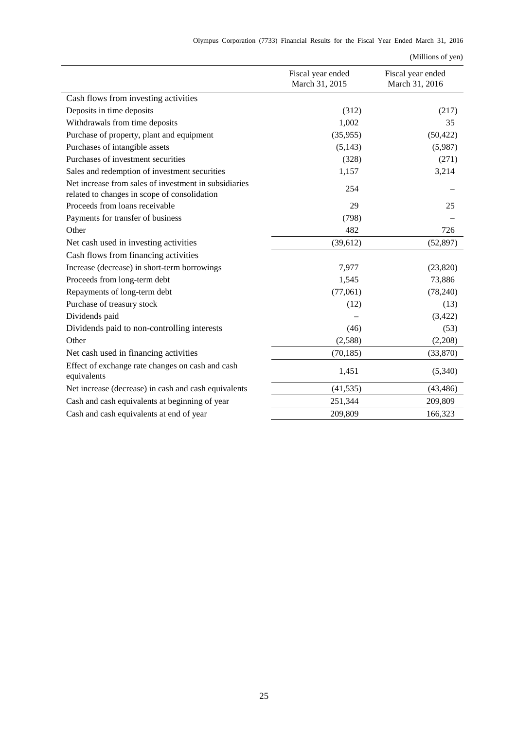|  | Olympus Corporation (7733) Financial Results for the Fiscal Year Ended March 31, 2016 |  |  |  |  |  |  |  |  |  |  |  |
|--|---------------------------------------------------------------------------------------|--|--|--|--|--|--|--|--|--|--|--|
|--|---------------------------------------------------------------------------------------|--|--|--|--|--|--|--|--|--|--|--|

|                                                                                                       |                                     | (Millions of yen)                   |
|-------------------------------------------------------------------------------------------------------|-------------------------------------|-------------------------------------|
|                                                                                                       | Fiscal year ended<br>March 31, 2015 | Fiscal year ended<br>March 31, 2016 |
| Cash flows from investing activities                                                                  |                                     |                                     |
| Deposits in time deposits                                                                             | (312)                               | (217)                               |
| Withdrawals from time deposits                                                                        | 1,002                               | 35                                  |
| Purchase of property, plant and equipment                                                             | (35,955)                            | (50, 422)                           |
| Purchases of intangible assets                                                                        | (5, 143)                            | (5,987)                             |
| Purchases of investment securities                                                                    | (328)                               | (271)                               |
| Sales and redemption of investment securities                                                         | 1,157                               | 3,214                               |
| Net increase from sales of investment in subsidiaries<br>related to changes in scope of consolidation | 254                                 |                                     |
| Proceeds from loans receivable                                                                        | 29                                  | 25                                  |
| Payments for transfer of business                                                                     | (798)                               |                                     |
| Other                                                                                                 | 482                                 | 726                                 |
| Net cash used in investing activities                                                                 | (39, 612)                           | (52, 897)                           |
| Cash flows from financing activities                                                                  |                                     |                                     |
| Increase (decrease) in short-term borrowings                                                          | 7,977                               | (23, 820)                           |
| Proceeds from long-term debt                                                                          | 1,545                               | 73,886                              |
| Repayments of long-term debt                                                                          | (77,061)                            | (78, 240)                           |
| Purchase of treasury stock                                                                            | (12)                                | (13)                                |
| Dividends paid                                                                                        |                                     | (3,422)                             |
| Dividends paid to non-controlling interests                                                           | (46)                                | (53)                                |
| Other                                                                                                 | (2,588)                             | (2,208)                             |
| Net cash used in financing activities                                                                 | (70, 185)                           | (33,870)                            |
| Effect of exchange rate changes on cash and cash<br>equivalents                                       | 1,451                               | (5,340)                             |
| Net increase (decrease) in cash and cash equivalents                                                  | (41, 535)                           | (43, 486)                           |
| Cash and cash equivalents at beginning of year                                                        | 251,344                             | 209,809                             |
| Cash and cash equivalents at end of year                                                              | 209,809                             | 166,323                             |
|                                                                                                       |                                     |                                     |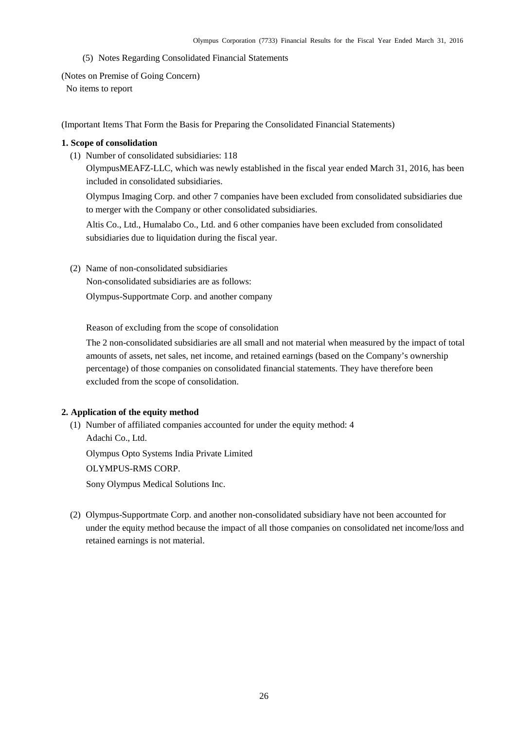(5) Notes Regarding Consolidated Financial Statements

<span id="page-28-1"></span><span id="page-28-0"></span>(Notes on Premise of Going Concern)

No items to report

<span id="page-28-2"></span>(Important Items That Form the Basis for Preparing the Consolidated Financial Statements)

# **1. Scope of consolidation**

(1) Number of consolidated subsidiaries: 118

OlympusMEAFZ-LLC, which was newly established in the fiscal year ended March 31, 2016, has been included in consolidated subsidiaries.

Olympus Imaging Corp. and other 7 companies have been excluded from consolidated subsidiaries due to merger with the Company or other consolidated subsidiaries.

Altis Co., Ltd., Humalabo Co., Ltd. and 6 other companies have been excluded from consolidated subsidiaries due to liquidation during the fiscal year.

(2) Name of non-consolidated subsidiaries

Non-consolidated subsidiaries are as follows:

Olympus-Supportmate Corp. and another company

Reason of excluding from the scope of consolidation

The 2 non-consolidated subsidiaries are all small and not material when measured by the impact of total amounts of assets, net sales, net income, and retained earnings (based on the Company's ownership percentage) of those companies on consolidated financial statements. They have therefore been excluded from the scope of consolidation.

# **2. Application of the equity method**

(1) Number of affiliated companies accounted for under the equity method: 4 Adachi Co., Ltd.

Olympus Opto Systems India Private Limited

OLYMPUS-RMS CORP.

Sony Olympus Medical Solutions Inc.

(2) Olympus-Supportmate Corp. and another non-consolidated subsidiary have not been accounted for under the equity method because the impact of all those companies on consolidated net income/loss and retained earnings is not material.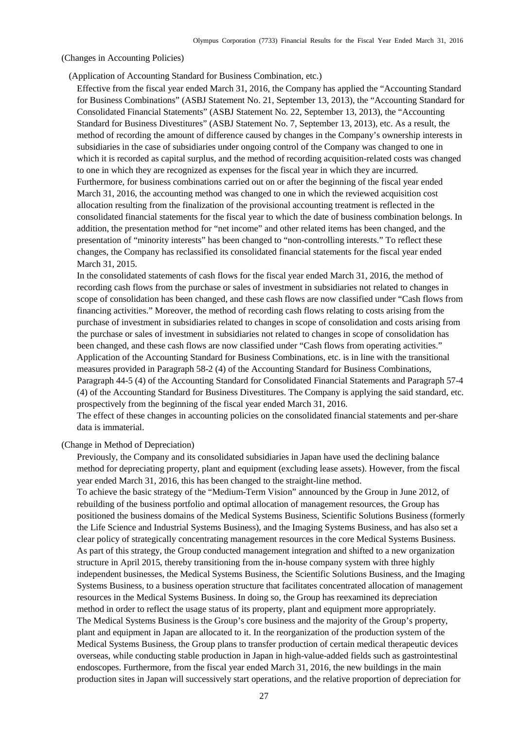<span id="page-29-0"></span>(Changes in Accounting Policies)

(Application of Accounting Standard for Business Combination, etc.)

Effective from the fiscal year ended March 31, 2016, the Company has applied the "Accounting Standard for Business Combinations" (ASBJ Statement No. 21, September 13, 2013), the "Accounting Standard for Consolidated Financial Statements" (ASBJ Statement No. 22, September 13, 2013), the "Accounting Standard for Business Divestitures" (ASBJ Statement No. 7, September 13, 2013), etc. As a result, the method of recording the amount of difference caused by changes in the Company's ownership interests in subsidiaries in the case of subsidiaries under ongoing control of the Company was changed to one in which it is recorded as capital surplus, and the method of recording acquisition-related costs was changed to one in which they are recognized as expenses for the fiscal year in which they are incurred. Furthermore, for business combinations carried out on or after the beginning of the fiscal year ended March 31, 2016, the accounting method was changed to one in which the reviewed acquisition cost allocation resulting from the finalization of the provisional accounting treatment is reflected in the consolidated financial statements for the fiscal year to which the date of business combination belongs. In addition, the presentation method for "net income" and other related items has been changed, and the presentation of "minority interests" has been changed to "non-controlling interests." To reflect these changes, the Company has reclassified its consolidated financial statements for the fiscal year ended March 31, 2015.

In the consolidated statements of cash flows for the fiscal year ended March 31, 2016, the method of recording cash flows from the purchase or sales of investment in subsidiaries not related to changes in scope of consolidation has been changed, and these cash flows are now classified under "Cash flows from financing activities." Moreover, the method of recording cash flows relating to costs arising from the purchase of investment in subsidiaries related to changes in scope of consolidation and costs arising from the purchase or sales of investment in subsidiaries not related to changes in scope of consolidation has been changed, and these cash flows are now classified under "Cash flows from operating activities." Application of the Accounting Standard for Business Combinations, etc. is in line with the transitional measures provided in Paragraph 58-2 (4) of the Accounting Standard for Business Combinations, Paragraph 44-5 (4) of the Accounting Standard for Consolidated Financial Statements and Paragraph 57-4 (4) of the Accounting Standard for Business Divestitures. The Company is applying the said standard, etc. prospectively from the beginning of the fiscal year ended March 31, 2016.

The effect of these changes in accounting policies on the consolidated financial statements and per-share data is immaterial.

# (Change in Method of Depreciation)

Previously, the Company and its consolidated subsidiaries in Japan have used the declining balance method for depreciating property, plant and equipment (excluding lease assets). However, from the fiscal year ended March 31, 2016, this has been changed to the straight-line method.

To achieve the basic strategy of the "Medium-Term Vision" announced by the Group in June 2012, of rebuilding of the business portfolio and optimal allocation of management resources, the Group has positioned the business domains of the Medical Systems Business, Scientific Solutions Business (formerly the Life Science and Industrial Systems Business), and the Imaging Systems Business, and has also set a clear policy of strategically concentrating management resources in the core Medical Systems Business. As part of this strategy, the Group conducted management integration and shifted to a new organization structure in April 2015, thereby transitioning from the in-house company system with three highly independent businesses, the Medical Systems Business, the Scientific Solutions Business, and the Imaging Systems Business, to a business operation structure that facilitates concentrated allocation of management resources in the Medical Systems Business. In doing so, the Group has reexamined its depreciation method in order to reflect the usage status of its property, plant and equipment more appropriately. The Medical Systems Business is the Group's core business and the majority of the Group's property, plant and equipment in Japan are allocated to it. In the reorganization of the production system of the Medical Systems Business, the Group plans to transfer production of certain medical therapeutic devices overseas, while conducting stable production in Japan in high-value-added fields such as gastrointestinal endoscopes. Furthermore, from the fiscal year ended March 31, 2016, the new buildings in the main production sites in Japan will successively start operations, and the relative proportion of depreciation for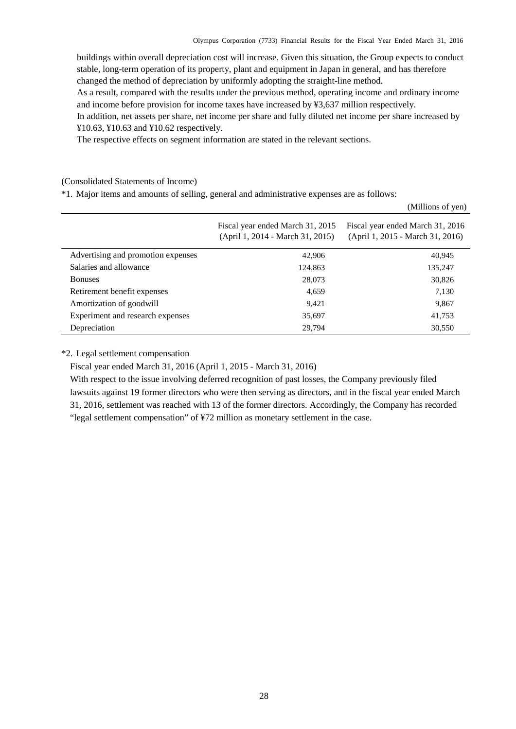buildings within overall depreciation cost will increase. Given this situation, the Group expects to conduct stable, long-term operation of its property, plant and equipment in Japan in general, and has therefore changed the method of depreciation by uniformly adopting the straight-line method.

As a result, compared with the results under the previous method, operating income and ordinary income and income before provision for income taxes have increased by ¥3,637 million respectively.

In addition, net assets per share, net income per share and fully diluted net income per share increased by ¥10.63, ¥10.63 and ¥10.62 respectively.

The respective effects on segment information are stated in the relevant sections.

<span id="page-30-0"></span>(Consolidated Statements of Income)

\*1. Major items and amounts of selling, general and administrative expenses are as follows:

|                                    |                                                                      | (Millions of yen)                                                    |
|------------------------------------|----------------------------------------------------------------------|----------------------------------------------------------------------|
|                                    | Fiscal year ended March 31, 2015<br>(April 1, 2014 - March 31, 2015) | Fiscal year ended March 31, 2016<br>(April 1, 2015 - March 31, 2016) |
| Advertising and promotion expenses | 42,906                                                               | 40,945                                                               |
| Salaries and allowance             | 124,863                                                              | 135,247                                                              |
| <b>Bonuses</b>                     | 28,073                                                               | 30,826                                                               |
| Retirement benefit expenses        | 4,659                                                                | 7,130                                                                |
| Amortization of goodwill           | 9,421                                                                | 9,867                                                                |
| Experiment and research expenses   | 35,697                                                               | 41,753                                                               |
| Depreciation                       | 29,794                                                               | 30,550                                                               |

\*2. Legal settlement compensation

Fiscal year ended March 31, 2016 (April 1, 2015 - March 31, 2016)

With respect to the issue involving deferred recognition of past losses, the Company previously filed lawsuits against 19 former directors who were then serving as directors, and in the fiscal year ended March 31, 2016, settlement was reached with 13 of the former directors. Accordingly, the Company has recorded "legal settlement compensation" of ¥72 million as monetary settlement in the case.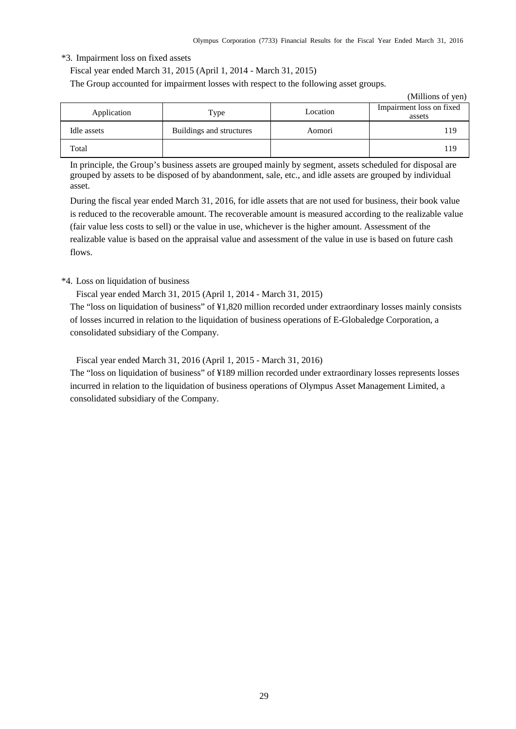#### \*3. Impairment loss on fixed assets

Fiscal year ended March 31, 2015 (April 1, 2014 - March 31, 2015)

The Group accounted for impairment losses with respect to the following asset groups.

|             |                          |          | (Millions of yen)                  |
|-------------|--------------------------|----------|------------------------------------|
| Application | Type                     | Location | Impairment loss on fixed<br>assets |
| Idle assets | Buildings and structures | Aomori   | 119                                |
| Total       |                          |          | 119                                |

In principle, the Group's business assets are grouped mainly by segment, assets scheduled for disposal are grouped by assets to be disposed of by abandonment, sale, etc., and idle assets are grouped by individual asset.

During the fiscal year ended March 31, 2016, for idle assets that are not used for business, their book value is reduced to the recoverable amount. The recoverable amount is measured according to the realizable value (fair value less costs to sell) or the value in use, whichever is the higher amount. Assessment of the realizable value is based on the appraisal value and assessment of the value in use is based on future cash flows.

## \*4. Loss on liquidation of business

Fiscal year ended March 31, 2015 (April 1, 2014 - March 31, 2015)

The "loss on liquidation of business" of ¥1,820 million recorded under extraordinary losses mainly consists of losses incurred in relation to the liquidation of business operations of E-Globaledge Corporation, a consolidated subsidiary of the Company.

Fiscal year ended March 31, 2016 (April 1, 2015 - March 31, 2016)

The "loss on liquidation of business" of ¥189 million recorded under extraordinary losses represents losses incurred in relation to the liquidation of business operations of Olympus Asset Management Limited, a consolidated subsidiary of the Company.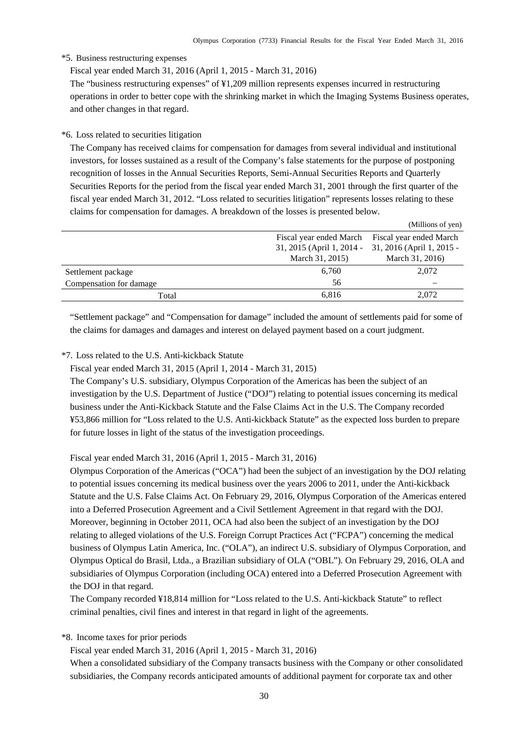#### \*5. Business restructuring expenses

Fiscal year ended March 31, 2016 (April 1, 2015 - March 31, 2016)

The "business restructuring expenses" of ¥1,209 million represents expenses incurred in restructuring operations in order to better cope with the shrinking market in which the Imaging Systems Business operates, and other changes in that regard.

### \*6. Loss related to securities litigation

The Company has received claims for compensation for damages from several individual and institutional investors, for losses sustained as a result of the Company's false statements for the purpose of postponing recognition of losses in the Annual Securities Reports, Semi-Annual Securities Reports and Quarterly Securities Reports for the period from the fiscal year ended March 31, 2001 through the first quarter of the fiscal year ended March 31, 2012. "Loss related to securities litigation" represents losses relating to these claims for compensation for damages. A breakdown of the losses is presented below.

|                         |                           | (Millions of yen)         |
|-------------------------|---------------------------|---------------------------|
|                         | Fiscal year ended March   | Fiscal year ended March   |
|                         | 31, 2015 (April 1, 2014 - | 31, 2016 (April 1, 2015 - |
|                         | March 31, 2015)           | March 31, 2016)           |
| Settlement package      | 6,760                     | 2,072                     |
| Compensation for damage | 56                        |                           |
| Total                   | 6,816                     | 2,072                     |
|                         |                           |                           |

"Settlement package" and "Compensation for damage" included the amount of settlements paid for some of the claims for damages and damages and interest on delayed payment based on a court judgment.

# \*7. Loss related to the U.S. Anti-kickback Statute

Fiscal year ended March 31, 2015 (April 1, 2014 - March 31, 2015)

The Company's U.S. subsidiary, Olympus Corporation of the Americas has been the subject of an investigation by the U.S. Department of Justice ("DOJ") relating to potential issues concerning its medical business under the Anti-Kickback Statute and the False Claims Act in the U.S. The Company recorded ¥53,866 million for "Loss related to the U.S. Anti-kickback Statute" as the expected loss burden to prepare for future losses in light of the status of the investigation proceedings.

Fiscal year ended March 31, 2016 (April 1, 2015 - March 31, 2016)

Olympus Corporation of the Americas ("OCA") had been the subject of an investigation by the DOJ relating to potential issues concerning its medical business over the years 2006 to 2011, under the Anti-kickback Statute and the U.S. False Claims Act. On February 29, 2016, Olympus Corporation of the Americas entered into a Deferred Prosecution Agreement and a Civil Settlement Agreement in that regard with the DOJ. Moreover, beginning in October 2011, OCA had also been the subject of an investigation by the DOJ relating to alleged violations of the U.S. Foreign Corrupt Practices Act ("FCPA") concerning the medical business of Olympus Latin America, Inc. ("OLA"), an indirect U.S. subsidiary of Olympus Corporation, and Olympus Optical do Brasil, Ltda., a Brazilian subsidiary of OLA ("OBL"). On February 29, 2016, OLA and subsidiaries of Olympus Corporation (including OCA) entered into a Deferred Prosecution Agreement with the DOJ in that regard.

The Company recorded ¥18,814 million for "Loss related to the U.S. Anti-kickback Statute" to reflect criminal penalties, civil fines and interest in that regard in light of the agreements.

\*8. Income taxes for prior periods

Fiscal year ended March 31, 2016 (April 1, 2015 - March 31, 2016)

When a consolidated subsidiary of the Company transacts business with the Company or other consolidated subsidiaries, the Company records anticipated amounts of additional payment for corporate tax and other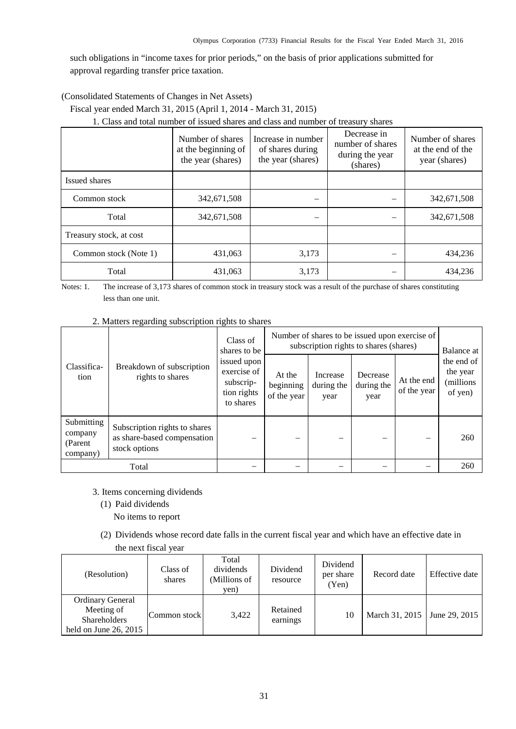such obligations in "income taxes for prior periods," on the basis of prior applications submitted for approval regarding transfer price taxation.

<span id="page-33-0"></span>(Consolidated Statements of Changes in Net Assets)

Fiscal year ended March 31, 2015 (April 1, 2014 - March 31, 2015)

1. Class and total number of issued shares and class and number of treasury shares

|                         | Number of shares<br>at the beginning of<br>the year (shares) | Increase in number<br>of shares during<br>the year (shares) | Decrease in<br>number of shares<br>during the year<br>(shares) | Number of shares<br>at the end of the<br>year (shares) |
|-------------------------|--------------------------------------------------------------|-------------------------------------------------------------|----------------------------------------------------------------|--------------------------------------------------------|
| Issued shares           |                                                              |                                                             |                                                                |                                                        |
| Common stock            | 342,671,508                                                  | $\overline{\phantom{0}}$                                    |                                                                | 342,671,508                                            |
| Total                   | 342,671,508                                                  | $\overline{\phantom{0}}$                                    |                                                                | 342,671,508                                            |
| Treasury stock, at cost |                                                              |                                                             |                                                                |                                                        |
| Common stock (Note 1)   | 431,063                                                      | 3,173                                                       | –                                                              | 434,236                                                |
| Total                   | 431,063                                                      | 3,173                                                       |                                                                | 434.236                                                |

Notes: 1. The increase of 3,173 shares of common stock in treasury stock was a result of the purchase of shares constituting less than one unit.

2. Matters regarding subscription rights to shares

| Classifica-<br>Breakdown of subscription<br>rights to shares<br>tion | Class of<br>shares to be                                                      | Number of shares to be issued upon exercise of<br>subscription rights to shares (shares) | Balance at                         |                                |                                |                           |                                                 |
|----------------------------------------------------------------------|-------------------------------------------------------------------------------|------------------------------------------------------------------------------------------|------------------------------------|--------------------------------|--------------------------------|---------------------------|-------------------------------------------------|
|                                                                      |                                                                               | issued upon<br>exercise of<br>subscrip-<br>tion rights<br>to shares                      | At the<br>beginning<br>of the year | Increase<br>during the<br>year | Decrease<br>during the<br>year | At the end<br>of the year | the end of<br>the year<br>(millions)<br>of yen) |
| Submitting<br>company<br>(Parent<br>company)                         | Subscription rights to shares<br>as share-based compensation<br>stock options |                                                                                          |                                    |                                |                                |                           | 260                                             |
|                                                                      | Total                                                                         |                                                                                          |                                    |                                |                                |                           | 260                                             |

- 3. Items concerning dividends
	- (1) Paid dividends

No items to report

(2) Dividends whose record date falls in the current fiscal year and which have an effective date in the next fiscal year

| (Resolution)                                                                            | Class of<br>shares | Total<br>dividends<br>(Millions of<br>yen) | Dividend<br>resource | Dividend<br>per share<br>(Yen) | Record date    | Effective date |
|-----------------------------------------------------------------------------------------|--------------------|--------------------------------------------|----------------------|--------------------------------|----------------|----------------|
| <b>Ordinary General</b><br>Meeting of<br><b>Shareholders</b><br>held on June 26, $2015$ | Common stock       | 3,422                                      | Retained<br>earnings | 10                             | March 31, 2015 | June 29, 2015  |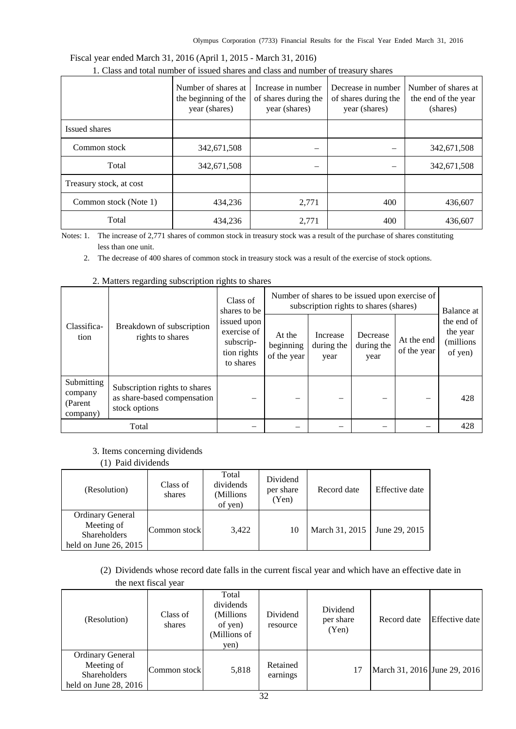|                         | Number of shares at<br>the beginning of the<br>year (shares) | Increase in number<br>of shares during the<br>year (shares) | Decrease in number<br>of shares during the<br>year (shares) | Number of shares at<br>the end of the year<br>(shares) |
|-------------------------|--------------------------------------------------------------|-------------------------------------------------------------|-------------------------------------------------------------|--------------------------------------------------------|
| Issued shares           |                                                              |                                                             |                                                             |                                                        |
| Common stock            | 342,671,508                                                  | -                                                           |                                                             | 342,671,508                                            |
| Total                   | 342,671,508                                                  |                                                             |                                                             | 342,671,508                                            |
| Treasury stock, at cost |                                                              |                                                             |                                                             |                                                        |
| Common stock (Note 1)   | 434,236                                                      | 2,771                                                       | 400                                                         | 436,607                                                |
| Total                   | 434,236                                                      | 2,771                                                       | 400                                                         | 436,607                                                |

# Fiscal year ended March 31, 2016 (April 1, 2015 - March 31, 2016) 1. Class and total number of issued shares and class and number of treasury shares

Notes: 1. The increase of 2,771 shares of common stock in treasury stock was a result of the purchase of shares constituting less than one unit.

2. The decrease of 400 shares of common stock in treasury stock was a result of the exercise of stock options.

| Classifica-<br>rights to shares<br>tion      |                                                                               | Class of<br>shares to be                                            | Number of shares to be issued upon exercise of<br>subscription rights to shares (shares) | Balance at                     |                                |                           |                                                |
|----------------------------------------------|-------------------------------------------------------------------------------|---------------------------------------------------------------------|------------------------------------------------------------------------------------------|--------------------------------|--------------------------------|---------------------------|------------------------------------------------|
|                                              | Breakdown of subscription                                                     | issued upon<br>exercise of<br>subscrip-<br>tion rights<br>to shares | At the<br>beginning<br>of the year                                                       | Increase<br>during the<br>year | Decrease<br>during the<br>year | At the end<br>of the year | the end of<br>the year<br>(millions<br>of yen) |
| Submitting<br>company<br>(Parent<br>company) | Subscription rights to shares<br>as share-based compensation<br>stock options |                                                                     |                                                                                          |                                |                                |                           | 428                                            |
|                                              | Total                                                                         |                                                                     |                                                                                          |                                |                                |                           | 428                                            |

# 2. Matters regarding subscription rights to shares

# 3. Items concerning dividends

#### (1) Paid dividends

| (Resolution)                                                                            | Class of<br>shares | Total<br>dividends<br>(Millions)<br>of yen) | Dividend<br>per share<br>(Yen) | Record date    | Effective date |
|-----------------------------------------------------------------------------------------|--------------------|---------------------------------------------|--------------------------------|----------------|----------------|
| <b>Ordinary General</b><br>Meeting of<br><b>Shareholders</b><br>held on June 26, $2015$ | Common stock       | 3,422                                       | 10                             | March 31, 2015 | June 29, 2015  |

(2) Dividends whose record date falls in the current fiscal year and which have an effective date in the next fiscal year

|                                                                                         | $\mathbf{u}$       |                                                                     |                      |                                |                              |                |
|-----------------------------------------------------------------------------------------|--------------------|---------------------------------------------------------------------|----------------------|--------------------------------|------------------------------|----------------|
| (Resolution)                                                                            | Class of<br>shares | Total<br>dividends<br>(Millions)<br>of yen)<br>(Millions of<br>yen) | Dividend<br>resource | Dividend<br>per share<br>(Yen) | Record date                  | Effective date |
| <b>Ordinary General</b><br>Meeting of<br><b>Shareholders</b><br>held on June $28, 2016$ | Common stock       | 5,818                                                               | Retained<br>earnings | 17                             | March 31, 2016 June 29, 2016 |                |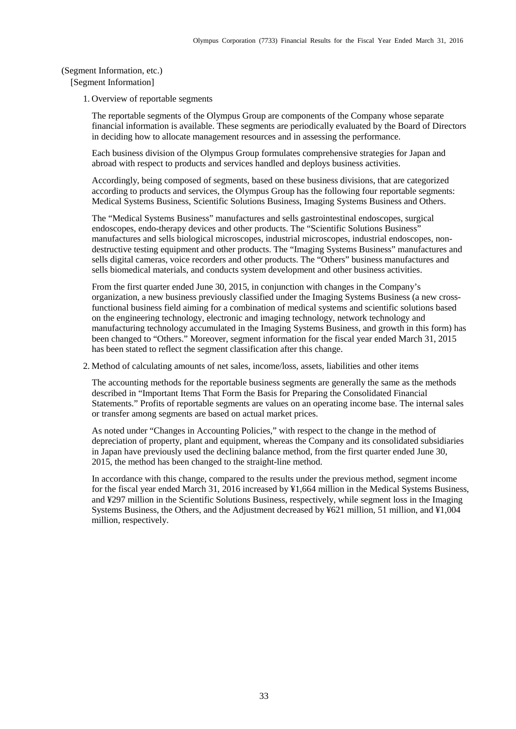<span id="page-35-0"></span>(Segment Information, etc.) [Segment Information]

1. Overview of reportable segments

The reportable segments of the Olympus Group are components of the Company whose separate financial information is available. These segments are periodically evaluated by the Board of Directors in deciding how to allocate management resources and in assessing the performance.

Each business division of the Olympus Group formulates comprehensive strategies for Japan and abroad with respect to products and services handled and deploys business activities.

Accordingly, being composed of segments, based on these business divisions, that are categorized according to products and services, the Olympus Group has the following four reportable segments: Medical Systems Business, Scientific Solutions Business, Imaging Systems Business and Others.

The "Medical Systems Business" manufactures and sells gastrointestinal endoscopes, surgical endoscopes, endo-therapy devices and other products. The "Scientific Solutions Business" manufactures and sells biological microscopes, industrial microscopes, industrial endoscopes, nondestructive testing equipment and other products. The "Imaging Systems Business" manufactures and sells digital cameras, voice recorders and other products. The "Others" business manufactures and sells biomedical materials, and conducts system development and other business activities.

From the first quarter ended June 30, 2015, in conjunction with changes in the Company's organization, a new business previously classified under the Imaging Systems Business (a new crossfunctional business field aiming for a combination of medical systems and scientific solutions based on the engineering technology, electronic and imaging technology, network technology and manufacturing technology accumulated in the Imaging Systems Business, and growth in this form) has been changed to "Others." Moreover, segment information for the fiscal year ended March 31, 2015 has been stated to reflect the segment classification after this change.

2. Method of calculating amounts of net sales, income/loss, assets, liabilities and other items

The accounting methods for the reportable business segments are generally the same as the methods described in "Important Items That Form the Basis for Preparing the Consolidated Financial Statements." Profits of reportable segments are values on an operating income base. The internal sales or transfer among segments are based on actual market prices.

As noted under "Changes in Accounting Policies," with respect to the change in the method of depreciation of property, plant and equipment, whereas the Company and its consolidated subsidiaries in Japan have previously used the declining balance method, from the first quarter ended June 30, 2015, the method has been changed to the straight-line method.

In accordance with this change, compared to the results under the previous method, segment income for the fiscal year ended March 31, 2016 increased by ¥1,664 million in the Medical Systems Business, and ¥297 million in the Scientific Solutions Business, respectively, while segment loss in the Imaging Systems Business, the Others, and the Adjustment decreased by ¥621 million, 51 million, and ¥1,004 million, respectively.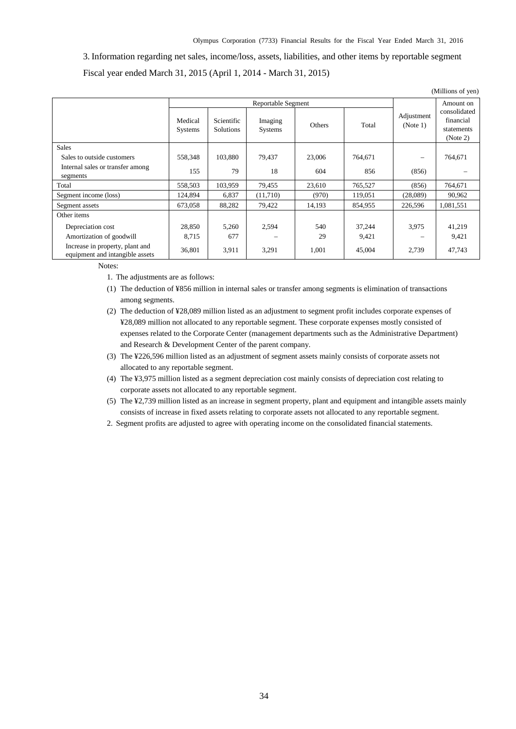3. Information regarding net sales, income/loss, assets, liabilities, and other items by reportable segment Fiscal year ended March 31, 2015 (April 1, 2014 - March 31, 2015)

|                                                                    |                    |                                |                           |        |         |                        | (Millions of yen)                                   |
|--------------------------------------------------------------------|--------------------|--------------------------------|---------------------------|--------|---------|------------------------|-----------------------------------------------------|
|                                                                    |                    |                                | Reportable Segment        |        |         | Adjustment<br>(Note 1) | Amount on                                           |
|                                                                    | Medical<br>Systems | Scientific<br><b>Solutions</b> | Imaging<br><b>Systems</b> | Others | Total   |                        | consolidated<br>financial<br>statements<br>(Note 2) |
| <b>Sales</b>                                                       |                    |                                |                           |        |         |                        |                                                     |
| Sales to outside customers                                         | 558,348            | 103,880                        | 79,437                    | 23,006 | 764,671 |                        | 764,671                                             |
| Internal sales or transfer among<br>segments                       | 155                | 79                             | 18                        | 604    | 856     | (856)                  |                                                     |
| Total                                                              | 558,503            | 103,959                        | 79,455                    | 23,610 | 765,527 | (856)                  | 764,671                                             |
| Segment income (loss)                                              | 124,894            | 6,837                          | (11,710)                  | (970)  | 119,051 | (28,089)               | 90,962                                              |
| Segment assets                                                     | 673,058            | 88,282                         | 79,422                    | 14,193 | 854,955 | 226,596                | 1,081,551                                           |
| Other items                                                        |                    |                                |                           |        |         |                        |                                                     |
| Depreciation cost                                                  | 28,850             | 5,260                          | 2,594                     | 540    | 37,244  | 3,975                  | 41,219                                              |
| Amortization of goodwill                                           | 8,715              | 677                            |                           | 29     | 9,421   |                        | 9,421                                               |
| Increase in property, plant and<br>equipment and intangible assets | 36,801             | 3,911                          | 3,291                     | 1,001  | 45,004  | 2,739                  | 47,743                                              |

Notes:

- 1. The adjustments are as follows:
- (1) The deduction of ¥856 million in internal sales or transfer among segments is elimination of transactions among segments.
- (2) The deduction of ¥28,089 million listed as an adjustment to segment profit includes corporate expenses of ¥28,089 million not allocated to any reportable segment. These corporate expenses mostly consisted of expenses related to the Corporate Center (management departments such as the Administrative Department) and Research & Development Center of the parent company.
- (3) The ¥226,596 million listed as an adjustment of segment assets mainly consists of corporate assets not allocated to any reportable segment.
- (4) The ¥3,975 million listed as a segment depreciation cost mainly consists of depreciation cost relating to corporate assets not allocated to any reportable segment.
- (5) The ¥2,739 million listed as an increase in segment property, plant and equipment and intangible assets mainly consists of increase in fixed assets relating to corporate assets not allocated to any reportable segment.
- 2. Segment profits are adjusted to agree with operating income on the consolidated financial statements.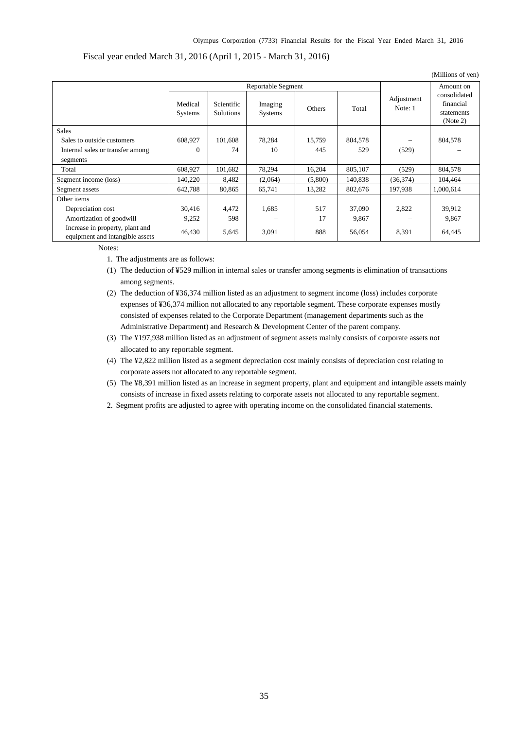## Fiscal year ended March 31, 2016 (April 1, 2015 - March 31, 2016)

|                                                                    |                           |                                |                           |         |         |                       | (Millions of yen)                                   |
|--------------------------------------------------------------------|---------------------------|--------------------------------|---------------------------|---------|---------|-----------------------|-----------------------------------------------------|
|                                                                    |                           |                                | <b>Reportable Segment</b> |         |         |                       | Amount on                                           |
|                                                                    | Medical<br><b>Systems</b> | Scientific<br><b>Solutions</b> | Imaging<br><b>Systems</b> | Others  | Total   | Adjustment<br>Note: 1 | consolidated<br>financial<br>statements<br>(Note 2) |
| <b>Sales</b>                                                       |                           |                                |                           |         |         |                       |                                                     |
| Sales to outside customers                                         | 608,927                   | 101,608                        | 78,284                    | 15,759  | 804,578 |                       | 804,578                                             |
| Internal sales or transfer among                                   | $\Omega$                  | 74                             | 10                        | 445     | 529     | (529)                 |                                                     |
| segments                                                           |                           |                                |                           |         |         |                       |                                                     |
| Total                                                              | 608,927                   | 101,682                        | 78,294                    | 16,204  | 805,107 | (529)                 | 804,578                                             |
| Segment income (loss)                                              | 140,220                   | 8.482                          | (2,064)                   | (5,800) | 140,838 | (36,374)              | 104,464                                             |
| Segment assets                                                     | 642,788                   | 80,865                         | 65,741                    | 13,282  | 802,676 | 197,938               | 1,000,614                                           |
| Other items                                                        |                           |                                |                           |         |         |                       |                                                     |
| Depreciation cost                                                  | 30,416                    | 4,472                          | 1,685                     | 517     | 37,090  | 2,822                 | 39,912                                              |
| Amortization of goodwill                                           | 9,252                     | 598                            |                           | 17      | 9,867   |                       | 9,867                                               |
| Increase in property, plant and<br>equipment and intangible assets | 46,430                    | 5,645                          | 3,091                     | 888     | 56,054  | 8,391                 | 64,445                                              |

Notes:

1. The adjustments are as follows:

- (1) The deduction of ¥529 million in internal sales or transfer among segments is elimination of transactions among segments.
- (2) The deduction of ¥36,374 million listed as an adjustment to segment income (loss) includes corporate expenses of ¥36,374 million not allocated to any reportable segment. These corporate expenses mostly consisted of expenses related to the Corporate Department (management departments such as the Administrative Department) and Research & Development Center of the parent company.
- (3) The ¥197,938 million listed as an adjustment of segment assets mainly consists of corporate assets not allocated to any reportable segment.
- (4) The ¥2,822 million listed as a segment depreciation cost mainly consists of depreciation cost relating to corporate assets not allocated to any reportable segment.
- (5) The ¥8,391 million listed as an increase in segment property, plant and equipment and intangible assets mainly consists of increase in fixed assets relating to corporate assets not allocated to any reportable segment.
- 2. Segment profits are adjusted to agree with operating income on the consolidated financial statements.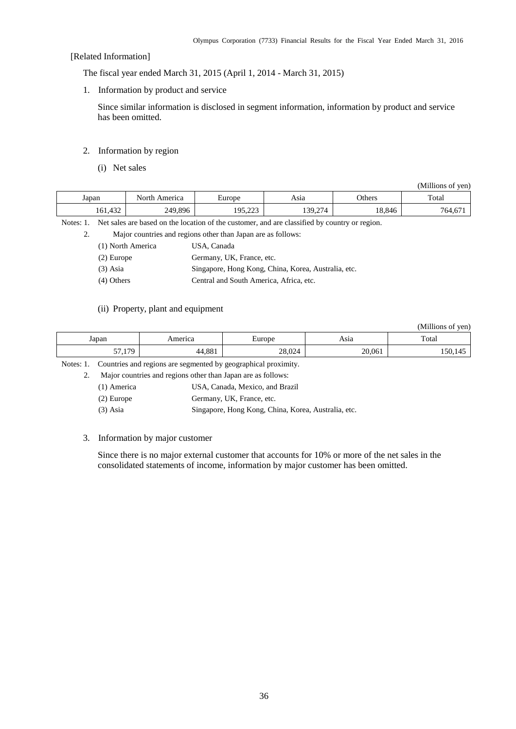#### [Related Information]

The fiscal year ended March 31, 2015 (April 1, 2014 - March 31, 2015)

1. Information by product and service

Since similar information is disclosed in segment information, information by product and service has been omitted.

#### 2. Information by region

(i) Net sales

(Millions of yen)

| Japan                | ∴⊌∩r*'<br>merica    | urone                     | Asıa                               | <b>Others</b> | Total      |
|----------------------|---------------------|---------------------------|------------------------------------|---------------|------------|
| $\sim$<br>$101, +32$ | , 89F<br>240<br>--- | $\sim$<br>7 ∩ 1<br>,,,,,, | $\sim$<br>20<br>/ ⊿<br>1 J J 4 4 4 | 18,846        | --<br>764. |

Notes: 1. Net sales are based on the location of the customer, and are classified by country or region.

2. Major countries and regions other than Japan are as follows:

| (1) North America | USA, Canada |
|-------------------|-------------|
|-------------------|-------------|

| (2) Europe | Germany, UK, France, etc. |  |  |
|------------|---------------------------|--|--|
|            |                           |  |  |

(3) Asia Singapore, Hong Kong, China, Korea, Australia, etc.

(4) Others Central and South America, Africa, etc.

#### (ii) Property, plant and equipment

(Millions of yen)

| Japan                 | America            | –<br>turone       | Asia   | Total           |
|-----------------------|--------------------|-------------------|--------|-----------------|
| 170<br>$-$<br>.<br>້. | $A$ OO 1<br>44.00. | 20.02<br>$20.02-$ | 20,061 | . .<br>150<br>≖ |

Notes: 1. Countries and regions are segmented by geographical proximity.

2. Major countries and regions other than Japan are as follows:

| (1) America  | USA, Canada, Mexico, and Brazil                     |
|--------------|-----------------------------------------------------|
| $(2)$ Europe | Germany, UK, France, etc.                           |
| $(3)$ Asia   | Singapore, Hong Kong, China, Korea, Australia, etc. |

#### 3. Information by major customer

Since there is no major external customer that accounts for 10% or more of the net sales in the consolidated statements of income, information by major customer has been omitted.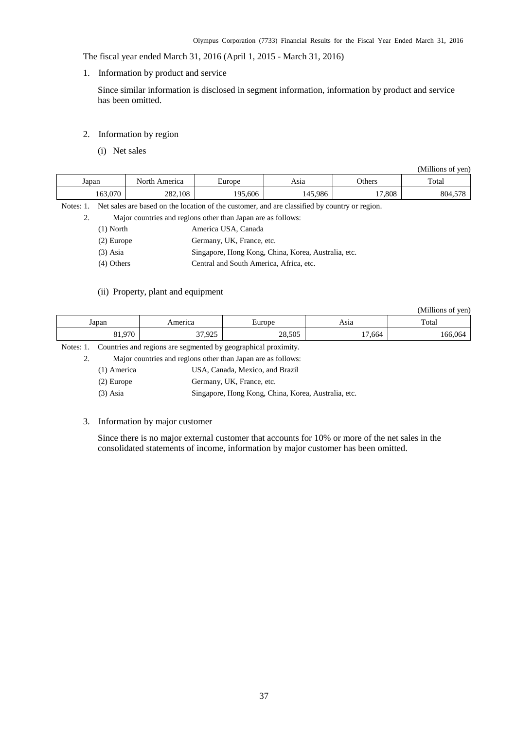The fiscal year ended March 31, 2016 (April 1, 2015 - March 31, 2016)

1. Information by product and service

Since similar information is disclosed in segment information, information by product and service has been omitted.

- 2. Information by region
	- (i) Net sales

|                                                                                                            |               |         |         |        | (Millions of yen) |  |  |
|------------------------------------------------------------------------------------------------------------|---------------|---------|---------|--------|-------------------|--|--|
| Japan                                                                                                      | North America | Europe  | Asia    | Others | Total             |  |  |
| 163.070                                                                                                    | 282,108       | 195.606 | 145.986 | 17.808 | 804,578           |  |  |
| Net sales are based on the location of the customer, and are classified by country or region.<br>Notes: 1. |               |         |         |        |                   |  |  |

2. Major countries and regions other than Japan are as follows:

| $(1)$ North | America USA, Canada |
|-------------|---------------------|
|             |                     |

- (2) Europe Germany, UK, France, etc.
- (3) Asia Singapore, Hong Kong, China, Korea, Australia, etc.
- (4) Others Central and South America, Africa, etc.

#### (ii) Property, plant and equipment

(Millions of yen)

| Japan           | $ -$ | $\cdots$ rone | Asia                             | $\mathbf{m}$<br>Total |
|-----------------|------|---------------|----------------------------------|-----------------------|
| 0.70<br>$\cdot$ | 025  | 28,505        | $\overline{ }$<br>$\sim$<br>.664 | ۱h۷<br>. Fir          |

Notes: 1. Countries and regions are segmented by geographical proximity.

2. Major countries and regions other than Japan are as follows:

| (1) America | USA, Canada, Mexico, and Brazil |
|-------------|---------------------------------|
|-------------|---------------------------------|

(2) Europe Germany, UK, France, etc.

(3) Asia Singapore, Hong Kong, China, Korea, Australia, etc.

#### 3. Information by major customer

Since there is no major external customer that accounts for 10% or more of the net sales in the consolidated statements of income, information by major customer has been omitted.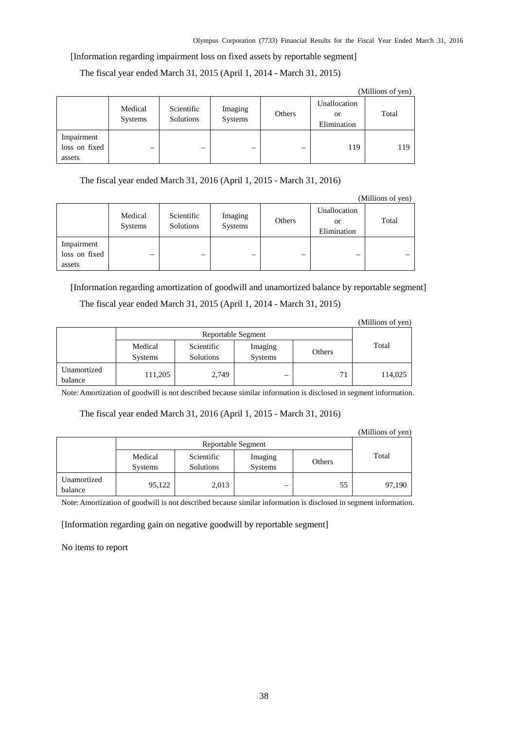#### [Information regarding impairment loss on fixed assets by reportable segment]

The fiscal year ended March 31, 2015 (April 1, 2014 - March 31, 2015)

|                                       | (1)                       |                                |                    |        |                                   |       |  |
|---------------------------------------|---------------------------|--------------------------------|--------------------|--------|-----------------------------------|-------|--|
|                                       | Medical<br><b>Systems</b> | Scientific<br><b>Solutions</b> | Imaging<br>Systems | Others | Unallocation<br>or<br>Elimination | Total |  |
| Impairment<br>loss on fixed<br>assets |                           |                                | –                  |        | 119                               | 119   |  |

(Millions of yen)

The fiscal year ended March 31, 2016 (April 1, 2015 - March 31, 2016)

|                                       |                           |                         |                    |        |                                          | (Millions of yen) |
|---------------------------------------|---------------------------|-------------------------|--------------------|--------|------------------------------------------|-------------------|
|                                       | Medical<br><b>Systems</b> | Scientific<br>Solutions | Imaging<br>Systems | Others | Unallocation<br><b>or</b><br>Elimination | Total             |
| Impairment<br>loss on fixed<br>assets | -                         | –                       | —                  | –      |                                          |                   |

[Information regarding amortization of goodwill and unamortized balance by reportable segment] The fiscal year ended March 31, 2015 (April 1, 2014 - March 31, 2015)

|                        |                           |                         |                    |        | (Millions of yen) |
|------------------------|---------------------------|-------------------------|--------------------|--------|-------------------|
|                        |                           |                         | Reportable Segment |        |                   |
|                        | Medical<br><b>Systems</b> | Scientific<br>Solutions | Imaging<br>Systems | Others | Total             |
| Unamortized<br>balance | 111,205                   | 2,749                   | –                  | 71     | 114,025           |

Note:Amortization of goodwill is not described because similar information is disclosed in segment information.

The fiscal year ended March 31, 2016 (April 1, 2015 - March 31, 2016)

|                        |                           |                                |                    |        | (Millions of yen) |
|------------------------|---------------------------|--------------------------------|--------------------|--------|-------------------|
|                        | Reportable Segment        |                                |                    |        |                   |
|                        | Medical<br><b>Systems</b> | Scientific<br><b>Solutions</b> | Imaging<br>Systems | Others | Total             |
| Unamortized<br>balance | 95,122                    | 2,013                          | -                  | 55     | 97,190            |

Note:Amortization of goodwill is not described because similar information is disclosed in segment information.

[Information regarding gain on negative goodwill by reportable segment]

No items to report